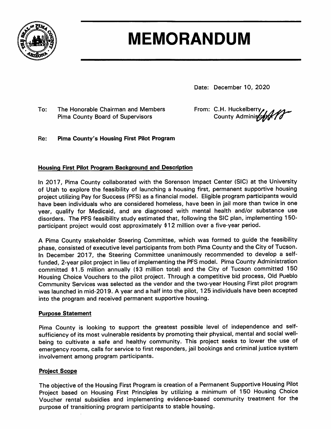

# **MEMORANDUM**

Date: December 10, 2020

To: The Honorable Chairman and Members **Pima County Board of Supervisors** 

From: C.H. Huckelberry

Re: **Pima County's Housing First Pilot Program** 

#### **Housing First Pilot Program Background and Description**

In 2017, Pima County collaborated with the Sorenson Impact Center (SIC) at the University of Utah to explore the feasibility of launching a housing first, permanent supportive housing project utilizing Pay for Success (PFS) as a financial model. Eligible program participants would have been individuals who are considered homeless, have been in jail more than twice in one year, qualify for Medicaid, and are diagnosed with mental health and/or substance use disorders. The PFS feasibility study estimated that, following the SIC plan, implementing 150participant project would cost approximately \$12 million over a five-year period.

A Pima County stakeholder Steering Committee, which was formed to guide the feasibility phase, consisted of executive level participants from both Pima County and the City of Tucson. In December 2017, the Steering Committee unanimously recommended to develop a selffunded, 2-year pilot project in lieu of implementing the PFS model. Pima County Administration committed \$1.5 million annually (\$3 million total) and the City of Tucson committed 150 Housing Choice Vouchers to the pilot project. Through a competitive bid process, Old Pueblo Community Services was selected as the vendor and the two-year Housing First pilot program was launched in mid-2019. A year and a half into the pilot, 125 individuals have been accepted into the program and received permanent supportive housing.

#### **Purpose Statement**

Pima County is looking to support the greatest possible level of independence and selfsufficiency of its most vulnerable residents by promoting their physical, mental and social wellbeing to cultivate a safe and healthy community. This project seeks to lower the use of emergency rooms, calls for service to first responders, jail bookings and criminal justice system involvement among program participants.

#### **Project Scope**

The objective of the Housing First Program is creation of a Permanent Supportive Housing Pilot Project based on Housing First Principles by utilizing a minimum of 150 Housing Choice Voucher rental subsidies and implementing evidence-based community treatment for the purpose of transitioning program participants to stable housing.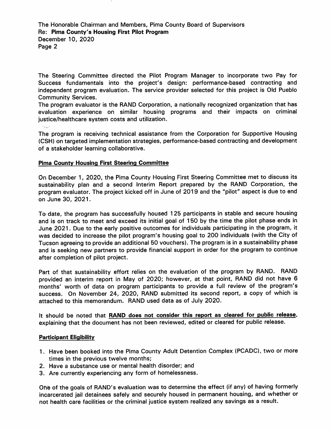The Honorable Chairman and Members, Pima County Board of Supervisors Re: Pima County's Housing First Pilot Program December 10, 2020 Page 2

The Steering Committee directed the Pilot Program Manager to incorporate two Pay for Success fundamentals into the project's design: performance-based contracting and independent program evaluation. The service provider selected for this project is Old Pueblo **Community Services.** 

The program evaluator is the RAND Corporation, a nationally recognized organization that has evaluation experience on similar housing programs and their impacts on criminal justice/healthcare system costs and utilization.

**Salar** 

The program is receiving technical assistance from the Corporation for Supportive Housing (CSH) on targeted implementation strategies, performance-based contracting and development of a stakeholder learning collaborative.

#### **Pima County Housing First Steering Committee**

On December 1, 2020, the Pima County Housing First Steering Committee met to discuss its sustainability plan and a second Interim Report prepared by the RAND Corporation, the program evaluator. The project kicked off in June of 2019 and the "pilot" aspect is due to end on June 30, 2021.

To date, the program has successfully housed 125 participants in stable and secure housing and is on track to meet and exceed its initial goal of 150 by the time the pilot phase ends in June 2021. Due to the early positive outcomes for individuals participating in the program, it was decided to increase the pilot program's housing goal to 200 individuals (with the City of Tucson agreeing to provide an additional 50 vouchers). The program is in a sustainability phase and is seeking new partners to provide financial support in order for the program to continue after completion of pilot project.

Part of that sustainability effort relies on the evaluation of the program by RAND. RAND provided an interim report in May of 2020; however, at that point, RAND did not have 6 months' worth of data on program participants to provide a full review of the program's success. On November 24, 2020, RAND submitted its second report, a copy of which is attached to this memorandum. RAND used data as of July 2020.

It should be noted that RAND does not consider this report as cleared for public release, explaining that the document has not been reviewed, edited or cleared for public release.

#### **Participant Eligibility**

- 1. Have been booked into the Pima County Adult Detention Complex (PCADC), two or more times in the previous twelve months;
- 2. Have a substance use or mental health disorder; and
- 3. Are currently experiencing any form of homelessness.

One of the goals of RAND's evaluation was to determine the effect (if any) of having formerly incarcerated iail detainees safely and securely housed in permanent housing, and whether or not health care facilities or the criminal justice system realized any savings as a result.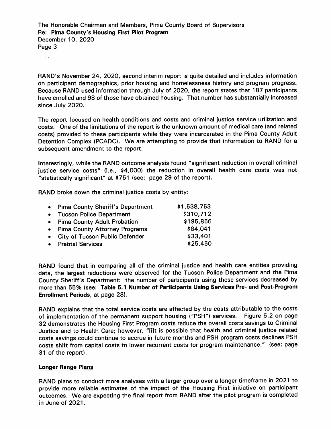The Honorable Chairman and Members, Pima County Board of Supervisors Re: Pima County's Housing First Pilot Program December 10, 2020 Page 3

 $\sim 3\times 8$ 

RAND's November 24, 2020, second interim report is quite detailed and includes information on participant demographics, prior housing and homelessness history and program progress. Because RAND used information through July of 2020, the report states that 187 participants have enrolled and 98 of those have obtained housing. That number has substantially increased since July 2020.

The report focused on health conditions and costs and criminal justice service utilization and costs. One of the limitations of the report is the unknown amount of medical care (and related costs) provided to these participants while they were incarcerated in the Pima County Adult Detention Complex (PCADC). We are attempting to provide that information to RAND for a subsequent amendment to the report.

Interestingly, while the RAND outcome analysis found "significant reduction in overall criminal justice service costs" (i.e., \$4,000) the reduction in overall health care costs was not "statistically significant" at \$751 (see: page 29 of the report).

RAND broke down the criminal justice costs by entity:

| • Pima County Sheriff's Department | \$1,538,753 |
|------------------------------------|-------------|
| • Tucson Police Department         | \$310,712   |
| • Pima County Adult Probation      | \$195,856   |
| • Pima County Attorney Programs    | \$84,041    |
| • City of Tucson Public Defender   | \$33,401    |
| • Pretrial Services                | \$25,450    |
|                                    |             |

RAND found that in comparing all of the criminal justice and health care entities providing data, the largest reductions were observed for the Tucson Police Department and the Pima County Sheriff's Department: the number of participants using these services decreased by more than 55% (see: Table 5.1 Number of Participants Using Services Pre- and Post-Program Enrollment Periods, at page 28).

RAND explains that the total service costs are affected by the costs attributable to the costs of implementation of the permanent support housing ("PSH") services. Figure 5.2 on page 32 demonstrates the Housing First Program costs reduce the overall costs savings to Criminal Justice and to Health Care; however, "[i]t is possible that health and criminal justice related costs savings could continue to accrue in future months and PSH program costs declines PSH costs shift from capital costs to lower recurrent costs for program maintenance." (see: page 31 of the report).

#### **Longer Range Plans**

RAND plans to conduct more analyses with a larger group over a longer timeframe in 2021 to provide more reliable estimates of the impact of the Housing First initiative on participant outcomes. We are expecting the final report from RAND after the pilot program is completed in June of 2021.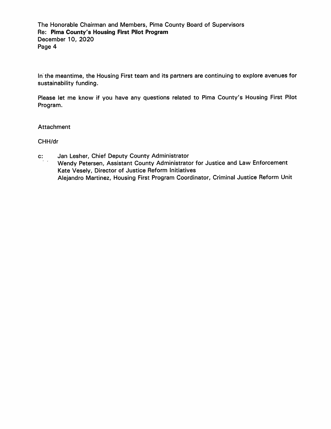In the meantime, the Housing First team and its partners are continuing to explore avenues for sustainability funding.

Please let me know if you have any questions related to Pima County's Housing First Pilot Program.

#### **Attachment**

CHH/dr

 $\mathbf{c}$ : Jan Lesher, Chief Deputy County Administrator Wendy Petersen, Assistant County Administrator for Justice and Law Enforcement Kate Vesely, Director of Justice Reform Initiatives Alejandro Martinez, Housing First Program Coordinator, Criminal Justice Reform Unit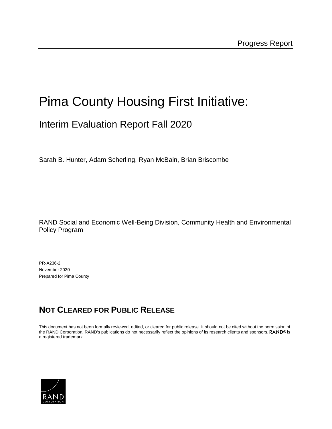## Pima County Housing First Initiative:

## Interim Evaluation Report Fall 2020

Sarah B. Hunter, Adam Scherling, Ryan McBain, Brian Briscombe

RAND Social and Economic Well-Being Division, Community Health and Environmental Policy Program

PR-A236-2 November 2020 Prepared for Pima County

## **NOT CLEARED FOR PUBLIC RELEASE**

This document has not been formally reviewed, edited, or cleared for public release. It should not be cited without the permission of the RAND Corporation. RAND's publications do not necessarily reflect the opinions of its research clients and sponsors. RAND® is a registered trademark.

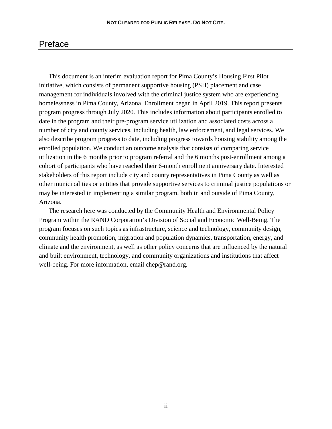## Preface

This document is an interim evaluation report for Pima County's Housing First Pilot initiative, which consists of permanent supportive housing (PSH) placement and case management for individuals involved with the criminal justice system who are experiencing homelessness in Pima County, Arizona. Enrollment began in April 2019. This report presents program progress through July 2020. This includes information about participants enrolled to date in the program and their pre-program service utilization and associated costs across a number of city and county services, including health, law enforcement, and legal services. We also describe program progress to date, including progress towards housing stability among the enrolled population. We conduct an outcome analysis that consists of comparing service utilization in the 6 months prior to program referral and the 6 months post-enrollment among a cohort of participants who have reached their 6-month enrollment anniversary date. Interested stakeholders of this report include city and county representatives in Pima County as well as other municipalities or entities that provide supportive services to criminal justice populations or may be interested in implementing a similar program, both in and outside of Pima County, Arizona.

The research here was conducted by the Community Health and Environmental Policy Program within the RAND Corporation's Division of Social and Economic Well-Being. The program focuses on such topics as infrastructure, science and technology, community design, community health promotion, migration and population dynamics, transportation, energy, and climate and the environment, as well as other policy concerns that are influenced by the natural and built environment, technology, and community organizations and institutions that affect well-being. For more information, email chep@rand.org.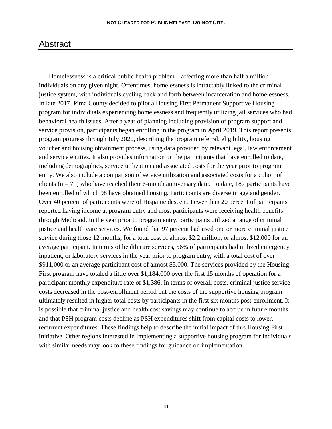## Abstract

Homelessness is a critical public health problem—affecting more than half a million individuals on any given night. Oftentimes, homelessness is intractably linked to the criminal justice system, with individuals cycling back and forth between incarceration and homelessness. In late 2017, Pima County decided to pilot a Housing First Permanent Supportive Housing program for individuals experiencing homelessness and frequently utilizing jail services who had behavioral health issues. After a year of planning including provision of program support and service provision, participants began enrolling in the program in April 2019. This report presents program progress through July 2020, describing the program referral, eligibility, housing voucher and housing obtainment process, using data provided by relevant legal, law enforcement and service entities. It also provides information on the participants that have enrolled to date, including demographics, service utilization and associated costs for the year prior to program entry. We also include a comparison of service utilization and associated costs for a cohort of clients ( $n = 71$ ) who have reached their 6-month anniversary date. To date, 187 participants have been enrolled of which 98 have obtained housing. Participants are diverse in age and gender. Over 40 percent of participants were of Hispanic descent. Fewer than 20 percent of participants reported having income at program entry and most participants were receiving health benefits through Medicaid. In the year prior to program entry, participants utilized a range of criminal justice and health care services. We found that 97 percent had used one or more criminal justice service during those 12 months, for a total cost of almost \$2.2 million, or almost \$12,000 for an average participant. In terms of health care services, 56% of participants had utilized emergency, inpatient, or laboratory services in the year prior to program entry, with a total cost of over \$911,000 or an average participant cost of almost \$5,000. The services provided by the Housing First program have totaled a little over \$1,184,000 over the first 15 months of operation for a participant monthly expenditure rate of \$1,386. In terms of overall costs, criminal justice service costs decreased in the post-enrollment period but the costs of the supportive housing program ultimately resulted in higher total costs by participants in the first six months post-enrollment. It is possible that criminal justice and health cost savings may continue to accrue in future months and that PSH program costs decline as PSH expenditures shift from capital costs to lower, recurrent expenditures. These findings help to describe the initial impact of this Housing First initiative. Other regions interested in implementing a supportive housing program for individuals with similar needs may look to these findings for guidance on implementation.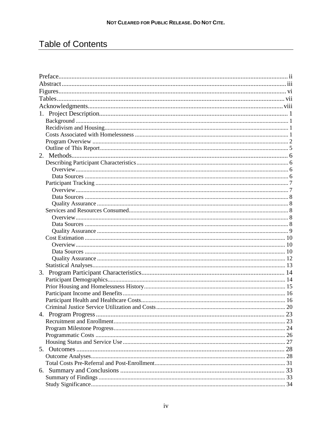## **Table of Contents**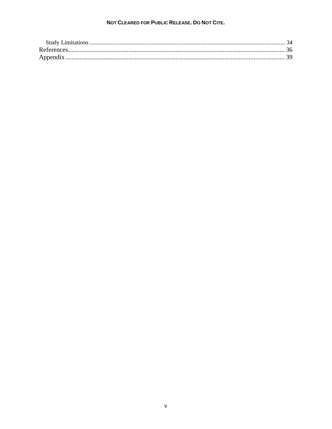#### NOT CLEARED FOR PUBLIC RELEASE. DO NOT CITE.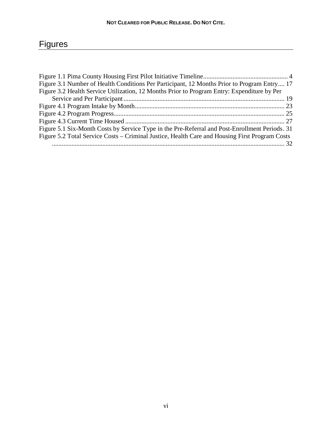| Figure 3.1 Number of Health Conditions Per Participant, 12 Months Prior to Program Entry 17    |
|------------------------------------------------------------------------------------------------|
| Figure 3.2 Health Service Utilization, 12 Months Prior to Program Entry: Expenditure by Per    |
|                                                                                                |
|                                                                                                |
|                                                                                                |
|                                                                                                |
| Figure 5.1 Six-Month Costs by Service Type in the Pre-Referral and Post-Enrollment Periods. 31 |
| Figure 5.2 Total Service Costs – Criminal Justice, Health Care and Housing First Program Costs |
|                                                                                                |
|                                                                                                |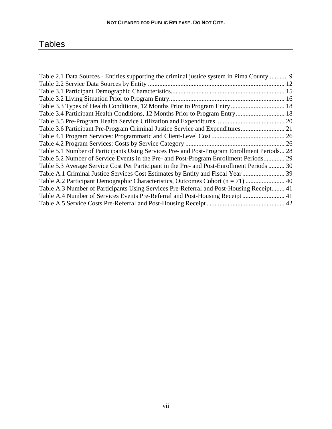## **Tables**

| Table 2.1 Data Sources - Entities supporting the criminal justice system in Pima County 9   |  |
|---------------------------------------------------------------------------------------------|--|
|                                                                                             |  |
|                                                                                             |  |
|                                                                                             |  |
|                                                                                             |  |
|                                                                                             |  |
|                                                                                             |  |
| Table 3.6 Participant Pre-Program Criminal Justice Service and Expenditures 21              |  |
|                                                                                             |  |
|                                                                                             |  |
| Table 5.1 Number of Participants Using Services Pre- and Post-Program Enrollment Periods 28 |  |
| Table 5.2 Number of Service Events in the Pre- and Post-Program Enrollment Periods 29       |  |
| Table 5.3 Average Service Cost Per Participant in the Pre- and Post-Enrollment Periods  30  |  |
|                                                                                             |  |
|                                                                                             |  |
| Table A.3 Number of Participants Using Services Pre-Referral and Post-Housing Receipt 41    |  |
| Table A.4 Number of Services Events Pre-Referral and Post-Housing Receipt 41                |  |
|                                                                                             |  |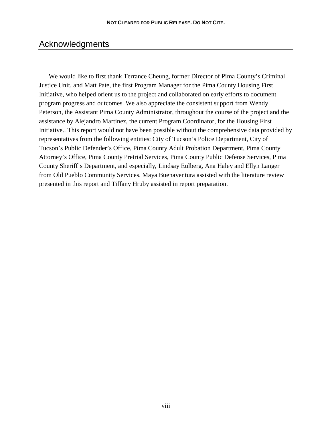## Acknowledgments

We would like to first thank Terrance Cheung, former Director of Pima County's Criminal Justice Unit, and Matt Pate, the first Program Manager for the Pima County Housing First Initiative, who helped orient us to the project and collaborated on early efforts to document program progress and outcomes. We also appreciate the consistent support from Wendy Peterson, the Assistant Pima County Administrator, throughout the course of the project and the assistance by Alejandro Martinez, the current Program Coordinator, for the Housing First Initiative.. This report would not have been possible without the comprehensive data provided by representatives from the following entities: City of Tucson's Police Department, City of Tucson's Public Defender's Office, Pima County Adult Probation Department, Pima County Attorney's Office, Pima County Pretrial Services, Pima County Public Defense Services, Pima County Sheriff's Department, and especially, Lindsay Eulberg, Ana Haley and Ellyn Langer from Old Pueblo Community Services. Maya Buenaventura assisted with the literature review presented in this report and Tiffany Hruby assisted in report preparation.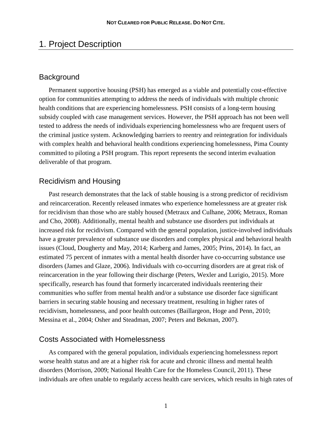## 1. Project Description

### **Background**

Permanent supportive housing (PSH) has emerged as a viable and potentially cost-effective option for communities attempting to address the needs of individuals with multiple chronic health conditions that are experiencing homelessness. PSH consists of a long-term housing subsidy coupled with case management services. However, the PSH approach has not been well tested to address the needs of individuals experiencing homelessness who are frequent users of the criminal justice system. Acknowledging barriers to reentry and reintegration for individuals with complex health and behavioral health conditions experiencing homelessness, Pima County committed to piloting a PSH program. This report represents the second interim evaluation deliverable of that program.

## Recidivism and Housing

Past research demonstrates that the lack of stable housing is a strong predictor of recidivism and reincarceration. Recently released inmates who experience homelessness are at greater risk for recidivism than those who are stably housed (Metraux and Culhane, 2006; Metraux, Roman and Cho, 2008). Additionally, mental health and substance use disorders put individuals at increased risk for recidivism. Compared with the general population, justice-involved individuals have a greater prevalence of substance use disorders and complex physical and behavioral health issues (Cloud, Dougherty and May, 2014; Karberg and James, 2005; Prins, 2014). In fact, an estimated 75 percent of inmates with a mental health disorder have co-occurring substance use disorders (James and Glaze, 2006). Individuals with co-occurring disorders are at great risk of reincarceration in the year following their discharge (Peters, Wexler and Lurigio, 2015). More specifically, research has found that formerly incarcerated individuals reentering their communities who suffer from mental health and/or a substance use disorder face significant barriers in securing stable housing and necessary treatment, resulting in higher rates of recidivism, homelessness, and poor health outcomes (Baillargeon, Hoge and Penn, 2010; Messina et al., 2004; Osher and Steadman, 2007; Peters and Bekman, 2007).

#### Costs Associated with Homelessness

As compared with the general population, individuals experiencing homelessness report worse health status and are at a higher risk for acute and chronic illness and mental health disorders (Morrison, 2009; National Health Care for the Homeless Council, 2011). These individuals are often unable to regularly access health care services, which results in high rates of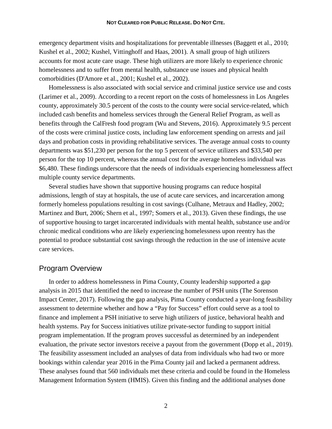emergency department visits and hospitalizations for preventable illnesses (Baggett et al., 2010; Kushel et al., 2002; Kushel, Vittinghoff and Haas, 2001). A small group of high utilizers accounts for most acute care usage. These high utilizers are more likely to experience chronic homelessness and to suffer from mental health, substance use issues and physical health comorbidities (D'Amore et al., 2001; Kushel et al., 2002).

Homelessness is also associated with social service and criminal justice service use and costs (Larimer et al., 2009). According to a recent report on the costs of homelessness in Los Angeles county, approximately 30.5 percent of the costs to the county were social service-related, which included cash benefits and homeless services through the General Relief Program, as well as benefits through the CalFresh food program (Wu and Stevens, 2016). Approximately 9.5 percent of the costs were criminal justice costs, including law enforcement spending on arrests and jail days and probation costs in providing rehabilitative services. The average annual costs to county departments was \$51,230 per person for the top 5 percent of service utilizers and \$33,540 per person for the top 10 percent, whereas the annual cost for the average homeless individual was \$6,480. These findings underscore that the needs of individuals experiencing homelessness affect multiple county service departments.

Several studies have shown that supportive housing programs can reduce hospital admissions, length of stay at hospitals, the use of acute care services, and incarceration among formerly homeless populations resulting in cost savings (Culhane, Metraux and Hadley, 2002; Martinez and Burt, 2006; Shern et al., 1997; Somers et al., 2013). Given these findings, the use of supportive housing to target incarcerated individuals with mental health, substance use and/or chronic medical conditions who are likely experiencing homelessness upon reentry has the potential to produce substantial cost savings through the reduction in the use of intensive acute care services.

#### Program Overview

In order to address homelessness in Pima County, County leadership supported a gap analysis in 2015 that identified the need to increase the number of PSH units (The Sorenson Impact Center, 2017). Following the gap analysis, Pima County conducted a year-long feasibility assessment to determine whether and how a "Pay for Success" effort could serve as a tool to finance and implement a PSH initiative to serve high utilizers of justice, behavioral health and health systems. Pay for Success initiatives utilize private-sector funding to support initial program implementation. If the program proves successful as determined by an independent evaluation, the private sector investors receive a payout from the government (Dopp et al., 2019). The feasibility assessment included an analyses of data from individuals who had two or more bookings within calendar year 2016 in the Pima County jail and lacked a permanent address. These analyses found that 560 individuals met these criteria and could be found in the Homeless Management Information System (HMIS). Given this finding and the additional analyses done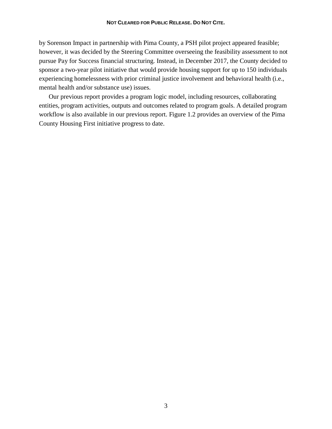#### **NOT CLEARED FOR PUBLIC RELEASE. DO NOT CITE.**

by Sorenson Impact in partnership with Pima County, a PSH pilot project appeared feasible; however, it was decided by the Steering Committee overseeing the feasibility assessment to not pursue Pay for Success financial structuring. Instead, in December 2017, the County decided to sponsor a two-year pilot initiative that would provide housing support for up to 150 individuals experiencing homelessness with prior criminal justice involvement and behavioral health (i.e., mental health and/or substance use) issues.

Our previous report provides a program logic model, including resources, collaborating entities, program activities, outputs and outcomes related to program goals. A detailed program workflow is also available in our previous report. Figure 1.2 provides an overview of the Pima County Housing First initiative progress to date.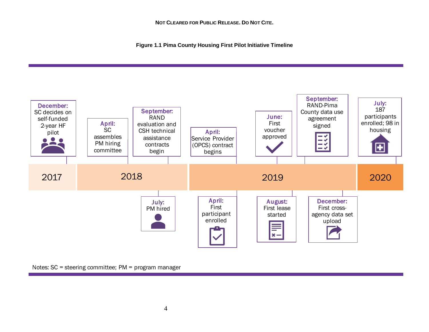**Figure 1.1 Pima County Housing First Pilot Initiative Timeline**



Notes: SC = steering committee; PM = program manager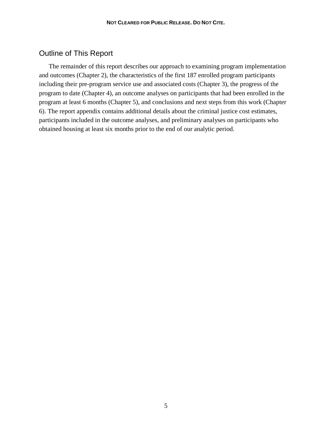## Outline of This Report

The remainder of this report describes our approach to examining program implementation and outcomes (Chapter 2), the characteristics of the first 187 enrolled program participants including their pre-program service use and associated costs (Chapter 3), the progress of the program to date (Chapter 4), an outcome analyses on participants that had been enrolled in the program at least 6 months (Chapter 5), and conclusions and next steps from this work (Chapter 6). The report appendix contains additional details about the criminal justice cost estimates, participants included in the outcome analyses, and preliminary analyses on participants who obtained housing at least six months prior to the end of our analytic period.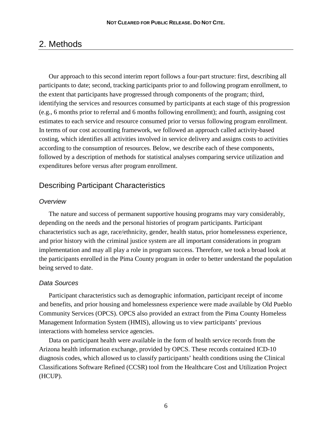## 2. Methods

Our approach to this second interim report follows a four-part structure: first, describing all participants to date; second, tracking participants prior to and following program enrollment, to the extent that participants have progressed through components of the program; third, identifying the services and resources consumed by participants at each stage of this progression (e.g., 6 months prior to referral and 6 months following enrollment); and fourth, assigning cost estimates to each service and resource consumed prior to versus following program enrollment. In terms of our cost accounting framework, we followed an approach called activity-based costing, which identifies all activities involved in service delivery and assigns costs to activities according to the consumption of resources. Below, we describe each of these components, followed by a description of methods for statistical analyses comparing service utilization and expenditures before versus after program enrollment.

## Describing Participant Characteristics

#### *Overview*

The nature and success of permanent supportive housing programs may vary considerably, depending on the needs and the personal histories of program participants. Participant characteristics such as age, race/ethnicity, gender, health status, prior homelessness experience, and prior history with the criminal justice system are all important considerations in program implementation and may all play a role in program success. Therefore, we took a broad look at the participants enrolled in the Pima County program in order to better understand the population being served to date.

#### *Data Sources*

Participant characteristics such as demographic information, participant receipt of income and benefits, and prior housing and homelessness experience were made available by Old Pueblo Community Services (OPCS). OPCS also provided an extract from the Pima County Homeless Management Information System (HMIS), allowing us to view participants' previous interactions with homeless service agencies.

Data on participant health were available in the form of health service records from the Arizona health information exchange, provided by OPCS. These records contained ICD-10 diagnosis codes, which allowed us to classify participants' health conditions using the Clinical Classifications Software Refined (CCSR) tool from the Healthcare Cost and Utilization Project (HCUP).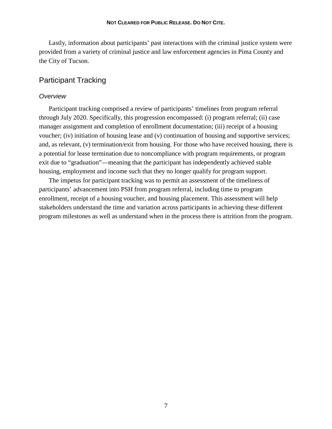Lastly, information about participants' past interactions with the criminal justice system were provided from a variety of criminal justice and law enforcement agencies in Pima County and the City of Tucson.

## Participant Tracking

#### *Overview*

Participant tracking comprised a review of participants' timelines from program referral through July 2020. Specifically, this progression encompassed: (i) program referral; (ii) case manager assignment and completion of enrollment documentation; (iii) receipt of a housing voucher; (iv) initiation of housing lease and (v) continuation of housing and supportive services; and, as relevant, (v) termination/exit from housing. For those who have received housing, there is a potential for lease termination due to noncompliance with program requirements, or program exit due to "graduation"—meaning that the participant has independently achieved stable housing, employment and income such that they no longer qualify for program support.

The impetus for participant tracking was to permit an assessment of the timeliness of participants' advancement into PSH from program referral, including time to program enrollment, receipt of a housing voucher, and housing placement. This assessment will help stakeholders understand the time and variation across participants in achieving these different program milestones as well as understand when in the process there is attrition from the program.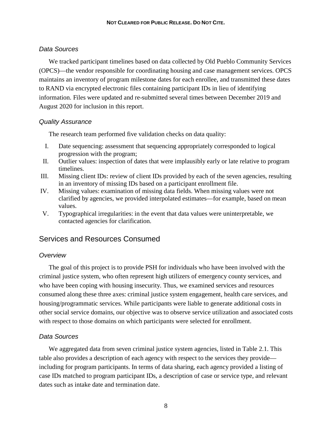#### *Data Sources*

We tracked participant timelines based on data collected by Old Pueblo Community Services (OPCS)—the vendor responsible for coordinating housing and case management services. OPCS maintains an inventory of program milestone dates for each enrollee, and transmitted these dates to RAND via encrypted electronic files containing participant IDs in lieu of identifying information. Files were updated and re-submitted several times between December 2019 and August 2020 for inclusion in this report.

#### *Quality Assurance*

The research team performed five validation checks on data quality:

- I. Date sequencing: assessment that sequencing appropriately corresponded to logical progression with the program;
- II. Outlier values: inspection of dates that were implausibly early or late relative to program timelines.
- III. Missing client IDs: review of client IDs provided by each of the seven agencies, resulting in an inventory of missing IDs based on a participant enrollment file.
- IV. Missing values: examination of missing data fields. When missing values were not clarified by agencies, we provided interpolated estimates—for example, based on mean values.
- V. Typographical irregularities: in the event that data values were uninterpretable, we contacted agencies for clarification.

## Services and Resources Consumed

#### *Overview*

The goal of this project is to provide PSH for individuals who have been involved with the criminal justice system, who often represent high utilizers of emergency county services, and who have been coping with housing insecurity. Thus, we examined services and resources consumed along these three axes: criminal justice system engagement, health care services, and housing/programmatic services. While participants were liable to generate additional costs in other social service domains, our objective was to observe service utilization and associated costs with respect to those domains on which participants were selected for enrollment.

#### *Data Sources*

We aggregated data from seven criminal justice system agencies, listed in Table 2.1. This table also provides a description of each agency with respect to the services they provide including for program participants. In terms of data sharing, each agency provided a listing of case IDs matched to program participant IDs, a description of case or service type, and relevant dates such as intake date and termination date.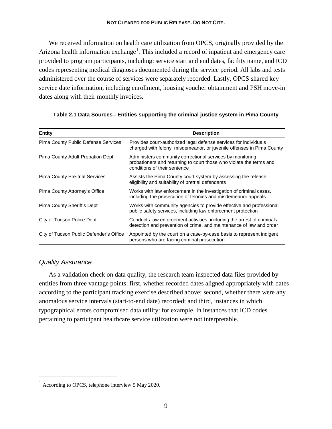#### **NOT CLEARED FOR PUBLIC RELEASE. DO NOT CITE.**

We received information on health care utilization from OPCS, originally provided by the Arizona health information exchange<sup>[1](#page-20-0)</sup>. This included a record of inpatient and emergency care provided to program participants, including: service start and end dates, facility name, and ICD codes representing medical diagnoses documented during the service period. All labs and tests administered over the course of services were separately recorded. Lastly, OPCS shared key service date information, including enrollment, housing voucher obtainment and PSH move-in dates along with their monthly invoices.

| <b>Entity</b>                           | <b>Description</b>                                                                                                                                               |  |  |
|-----------------------------------------|------------------------------------------------------------------------------------------------------------------------------------------------------------------|--|--|
| Pima County Public Defense Services     | Provides court-authorized legal defense services for individuals<br>charged with felony, misdemeanor, or juvenile offenses in Pima County                        |  |  |
| Pima County Adult Probation Dept        | Administers community correctional services by monitoring<br>probationers and returning to court those who violate the terms and<br>conditions of their sentence |  |  |
| Pima County Pre-trial Services          | Assists the Pima County court system by assessing the release<br>eligibility and suitability of pretrial defendants                                              |  |  |
| Pima County Attorney's Office           | Works with law enforcement in the investigation of criminal cases,<br>including the prosecution of felonies and misdemeanor appeals                              |  |  |
| Pima County Sheriff's Dept              | Works with community agencies to provide effective and professional<br>public safety services, including law enforcement protection                              |  |  |
| City of Tucson Police Dept              | Conducts law enforcement activities, including the arrest of criminals,<br>detection and prevention of crime, and maintenance of law and order                   |  |  |
| City of Tucson Public Defender's Office | Appointed by the court on a case-by-case basis to represent indigent<br>persons who are facing criminal prosecution                                              |  |  |

#### **Table 2.1 Data Sources - Entities supporting the criminal justice system in Pima County**

#### *Quality Assurance*

 $\overline{a}$ 

As a validation check on data quality, the research team inspected data files provided by entities from three vantage points: first, whether recorded dates aligned appropriately with dates according to the participant tracking exercise described above; second, whether there were any anomalous service intervals (start-to-end date) recorded; and third, instances in which typographical errors compromised data utility: for example, in instances that ICD codes pertaining to participant healthcare service utilization were not interpretable.

<span id="page-20-0"></span> $1$  According to OPCS, telephone interview 5 May 2020.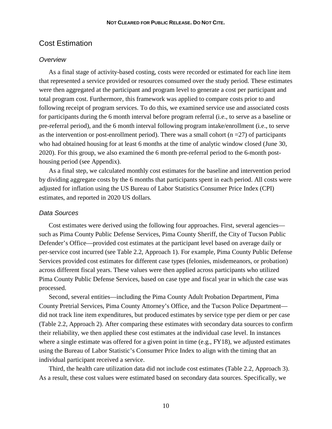#### Cost Estimation

#### *Overview*

As a final stage of activity-based costing, costs were recorded or estimated for each line item that represented a service provided or resources consumed over the study period. These estimates were then aggregated at the participant and program level to generate a cost per participant and total program cost. Furthermore, this framework was applied to compare costs prior to and following receipt of program services. To do this, we examined service use and associated costs for participants during the 6 month interval before program referral (i.e., to serve as a baseline or pre-referral period), and the 6 month interval following program intake/enrollment (i.e., to serve as the intervention or post-enrollment period). There was a small cohort  $(n = 27)$  of participants who had obtained housing for at least 6 months at the time of analytic window closed (June 30, 2020). For this group, we also examined the 6 month pre-referral period to the 6-month posthousing period (see Appendix).

As a final step, we calculated monthly cost estimates for the baseline and intervention period by dividing aggregate costs by the 6 months that participants spent in each period. All costs were adjusted for inflation using the US Bureau of Labor Statistics Consumer Price Index (CPI) estimates, and reported in 2020 US dollars.

#### *Data Sources*

Cost estimates were derived using the following four approaches. First, several agencies such as Pima County Public Defense Services, Pima County Sheriff, the City of Tucson Public Defender's Office—provided cost estimates at the participant level based on average daily or per-service cost incurred (see Table 2.2, Approach 1). For example, Pima County Public Defense Services provided cost estimates for different case types (felonies, misdemeanors, or probation) across different fiscal years. These values were then applied across participants who utilized Pima County Public Defense Services, based on case type and fiscal year in which the case was processed.

Second, several entities—including the Pima County Adult Probation Department, Pima County Pretrial Services, Pima County Attorney's Office, and the Tucson Police Department did not track line item expenditures, but produced estimates by service type per diem or per case (Table 2.2, Approach 2). After comparing these estimates with secondary data sources to confirm their reliability, we then applied these cost estimates at the individual case level. In instances where a single estimate was offered for a given point in time (e.g., FY18), we adjusted estimates using the Bureau of Labor Statistic's Consumer Price Index to align with the timing that an individual participant received a service.

Third, the health care utilization data did not include cost estimates (Table 2.2, Approach 3). As a result, these cost values were estimated based on secondary data sources. Specifically, we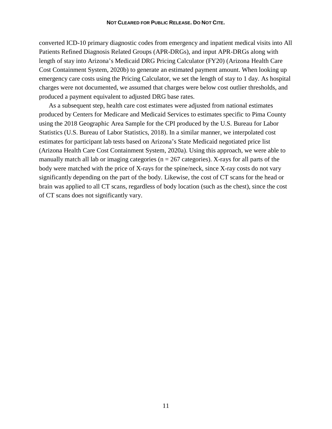converted ICD-10 primary diagnostic codes from emergency and inpatient medical visits into All Patients Refined Diagnosis Related Groups (APR-DRGs), and input APR-DRGs along with length of stay into Arizona's Medicaid DRG Pricing Calculator (FY20) (Arizona Health Care Cost Containment System, 2020b) to generate an estimated payment amount. When looking up emergency care costs using the Pricing Calculator, we set the length of stay to 1 day. As hospital charges were not documented, we assumed that charges were below cost outlier thresholds, and produced a payment equivalent to adjusted DRG base rates.

As a subsequent step, health care cost estimates were adjusted from national estimates produced by Centers for Medicare and Medicaid Services to estimates specific to Pima County using the 2018 Geographic Area Sample for the CPI produced by the U.S. Bureau for Labor Statistics (U.S. Bureau of Labor Statistics, 2018). In a similar manner, we interpolated cost estimates for participant lab tests based on Arizona's State Medicaid negotiated price list (Arizona Health Care Cost Containment System, 2020a). Using this approach, we were able to manually match all lab or imaging categories ( $n = 267$  categories). X-rays for all parts of the body were matched with the price of X-rays for the spine/neck, since X-ray costs do not vary significantly depending on the part of the body. Likewise, the cost of CT scans for the head or brain was applied to all CT scans, regardless of body location (such as the chest), since the cost of CT scans does not significantly vary.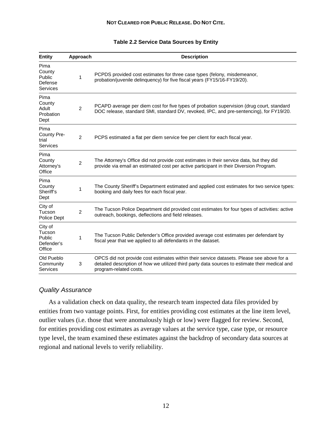#### **Table 2.2 Service Data Sources by Entity**

| <b>Entity</b>                                       | Approach       | <b>Description</b>                                                                                                                                                                                                    |
|-----------------------------------------------------|----------------|-----------------------------------------------------------------------------------------------------------------------------------------------------------------------------------------------------------------------|
| Pima<br>County<br>Public<br>Defense<br>Services     | 1              | PCPDS provided cost estimates for three case types (felony, misdemeanor,<br>probation/juvenile delinquency) for five fiscal years (FY15/16-FY19/20).                                                                  |
| Pima<br>County<br>Adult<br>Probation<br>Dept        | $\overline{2}$ | PCAPD average per diem cost for five types of probation supervision (drug court, standard<br>DOC release, standard SMI, standard DV, revoked, IPC, and pre-sentencing), for FY19/20.                                  |
| Pima<br>County Pre-<br>trial<br><b>Services</b>     | 2              | PCPS estimated a flat per diem service fee per client for each fiscal year.                                                                                                                                           |
| Pima<br>County<br>Attorney's<br>Office              | $\overline{2}$ | The Attorney's Office did not provide cost estimates in their service data, but they did<br>provide via email an estimated cost per active participant in their Diversion Program.                                    |
| Pima<br>County<br>Sheriff's<br>Dept                 | 1              | The County Sheriff's Department estimated and applied cost estimates for two service types:<br>booking and daily fees for each fiscal year.                                                                           |
| City of<br>Tucson<br>Police Dept                    | $\overline{c}$ | The Tucson Police Department did provided cost estimates for four types of activities: active<br>outreach, bookings, deflections and field releases.                                                                  |
| City of<br>Tucson<br>Public<br>Defender's<br>Office | 1              | The Tucson Public Defender's Office provided average cost estimates per defendant by<br>fiscal year that we applied to all defendants in the dataset.                                                                 |
| Old Pueblo<br>Community<br>Services                 | 3              | OPCS did not provide cost estimates within their service datasets. Please see above for a<br>detailed description of how we utilized third party data sources to estimate their medical and<br>program-related costs. |

#### *Quality Assurance*

As a validation check on data quality, the research team inspected data files provided by entities from two vantage points. First, for entities providing cost estimates at the line item level, outlier values (i.e. those that were anomalously high or low) were flagged for review. Second, for entities providing cost estimates as average values at the service type, case type, or resource type level, the team examined these estimates against the backdrop of secondary data sources at regional and national levels to verify reliability.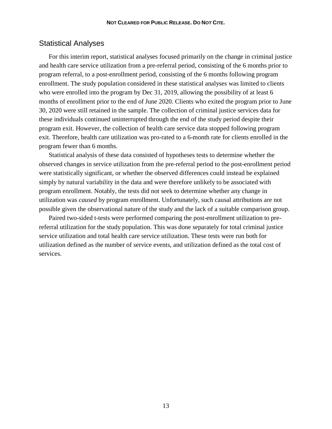### Statistical Analyses

For this interim report, statistical analyses focused primarily on the change in criminal justice and health care service utilization from a pre-referral period, consisting of the 6 months prior to program referral, to a post-enrollment period, consisting of the 6 months following program enrollment. The study population considered in these statistical analyses was limited to clients who were enrolled into the program by Dec 31, 2019, allowing the possibility of at least 6 months of enrollment prior to the end of June 2020. Clients who exited the program prior to June 30, 2020 were still retained in the sample. The collection of criminal justice services data for these individuals continued uninterrupted through the end of the study period despite their program exit. However, the collection of health care service data stopped following program exit. Therefore, health care utilization was pro-rated to a 6-month rate for clients enrolled in the program fewer than 6 months.

Statistical analysis of these data consisted of hypotheses tests to determine whether the observed changes in service utilization from the pre-referral period to the post-enrollment period were statistically significant, or whether the observed differences could instead be explained simply by natural variability in the data and were therefore unlikely to be associated with program enrollment. Notably, the tests did not seek to determine whether any change in utilization was *caused* by program enrollment. Unfortunately, such causal attributions are not possible given the observational nature of the study and the lack of a suitable comparison group.

Paired two-sided t-tests were performed comparing the post-enrollment utilization to prereferral utilization for the study population. This was done separately for total criminal justice service utilization and total health care service utilization. These tests were run both for utilization defined as the number of service events, and utilization defined as the total cost of services.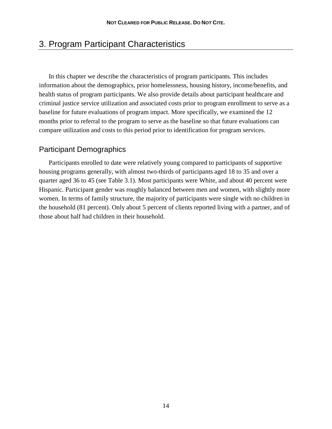## 3. Program Participant Characteristics

In this chapter we describe the characteristics of program participants. This includes information about the demographics, prior homelessness, housing history, income/benefits, and health status of program participants. We also provide details about participant healthcare and criminal justice service utilization and associated costs prior to program enrollment to serve as a baseline for future evaluations of program impact. More specifically, we examined the 12 months prior to referral to the program to serve as the baseline so that future evaluations can compare utilization and costs to this period prior to identification for program services.

### Participant Demographics

Participants enrolled to date were relatively young compared to participants of supportive housing programs generally, with almost two-thirds of participants aged 18 to 35 and over a quarter aged 36 to 45 (see Table 3.1). Most participants were White, and about 40 percent were Hispanic. Participant gender was roughly balanced between men and women, with slightly more women. In terms of family structure, the majority of participants were single with no children in the household (81 percent). Only about 5 percent of clients reported living with a partner, and of those about half had children in their household.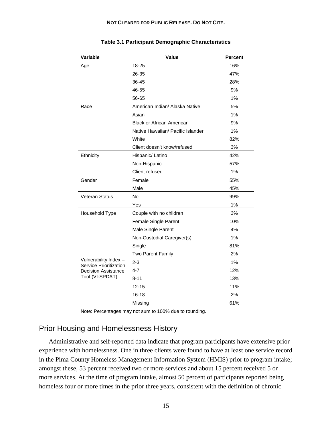| Variable                                              | Value                             | <b>Percent</b> |  |
|-------------------------------------------------------|-----------------------------------|----------------|--|
| Age                                                   | 18-25                             | 16%            |  |
|                                                       | 26-35                             | 47%            |  |
|                                                       | 36-45                             | 28%            |  |
|                                                       | 46-55                             | 9%             |  |
|                                                       | 56-65                             | 1%             |  |
| Race                                                  | American Indian/ Alaska Native    | 5%             |  |
|                                                       | Asian                             | 1%             |  |
|                                                       | <b>Black or African American</b>  | 9%             |  |
|                                                       | Native Hawaiian/ Pacific Islander | 1%             |  |
|                                                       | White                             | 82%            |  |
|                                                       | Client doesn't know/refused       | 3%             |  |
| Ethnicity                                             | Hispanic/ Latino                  | 42%            |  |
|                                                       | Non-Hispanic                      | 57%            |  |
|                                                       | Client refused                    | 1%             |  |
| Gender                                                | Female                            | 55%            |  |
|                                                       | Male                              | 45%            |  |
| <b>Veteran Status</b>                                 | No                                | 99%            |  |
|                                                       | Yes                               | 1%             |  |
| Household Type                                        | Couple with no children           | 3%             |  |
|                                                       | Female Single Parent              | 10%            |  |
|                                                       | Male Single Parent                | 4%             |  |
|                                                       | Non-Custodial Caregiver(s)        | 1%             |  |
|                                                       | Single                            | 81%            |  |
|                                                       | Two Parent Family                 | 2%             |  |
| Vulnerability Index-<br><b>Service Prioritization</b> | $2 - 3$                           | 1%             |  |
| <b>Decision Assistance</b>                            | $4 - 7$                           | 12%            |  |
| Tool (VI-SPDAT)                                       | 8-11                              | 13%            |  |
|                                                       | $12 - 15$                         | 11%            |  |
|                                                       | $16 - 18$                         | 2%             |  |
|                                                       | Missing                           | 61%            |  |

**Table 3.1 Participant Demographic Characteristics**

Note: Percentages may not sum to 100% due to rounding.

## Prior Housing and Homelessness History

Administrative and self-reported data indicate that program participants have extensive prior experience with homelessness. One in three clients were found to have at least one service record in the Pima County Homeless Management Information System (HMIS) prior to program intake; amongst these, 53 percent received two or more services and about 15 percent received 5 or more services. At the time of program intake, almost 50 percent of participants reported being homeless four or more times in the prior three years, consistent with the definition of chronic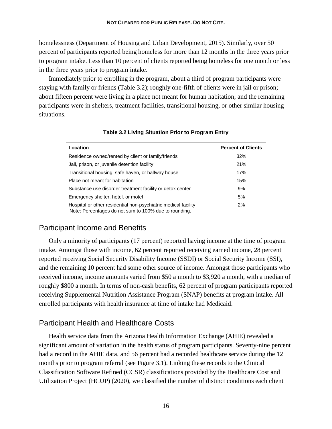homelessness (Department of Housing and Urban Development, 2015). Similarly, over 50 percent of participants reported being homeless for more than 12 months in the three years prior to program intake. Less than 10 percent of clients reported being homeless for one month or less in the three years prior to program intake.

Immediately prior to enrolling in the program, about a third of program participants were staying with family or friends (Table 3.2); roughly one-fifth of clients were in jail or prison; about fifteen percent were living in a place not meant for human habitation; and the remaining participants were in shelters, treatment facilities, transitional housing, or other similar housing situations.

| Location                                                       | <b>Percent of Clients</b> |
|----------------------------------------------------------------|---------------------------|
| Residence owned/rented by client or family/friends             | 32%                       |
| Jail, prison, or juvenile detention facility                   | 21%                       |
| Transitional housing, safe haven, or halfway house             | 17%                       |
| Place not meant for habitation                                 | 15%                       |
| Substance use disorder treatment facility or detox center      | 9%                        |
| Emergency shelter, hotel, or motel                             | 5%                        |
| Hospital or other residential non-psychiatric medical facility | 2%                        |
| Note: Percentages do not sum to 100% due to rounding.          |                           |

#### **Table 3.2 Living Situation Prior to Program Entry**

## Participant Income and Benefits

Only a minority of participants (17 percent) reported having income at the time of program intake. Amongst those with income, 62 percent reported receiving earned income, 28 percent reported receiving Social Security Disability Income (SSDI) or Social Security Income (SSI), and the remaining 10 percent had some other source of income. Amongst those participants who received income, income amounts varied from \$50 a month to \$3,920 a month, with a median of roughly \$800 a month. In terms of non-cash benefits, 62 percent of program participants reported receiving Supplemental Nutrition Assistance Program (SNAP) benefits at program intake. All enrolled participants with health insurance at time of intake had Medicaid.

## Participant Health and Healthcare Costs

Health service data from the Arizona Health Information Exchange (AHIE) revealed a significant amount of variation in the health status of program participants. Seventy-nine percent had a record in the AHIE data, and 56 percent had a recorded healthcare service during the 12 months prior to program referral (see Figure 3.1). Linking these records to the Clinical Classification Software Refined (CCSR) classifications provided by the Healthcare Cost and Utilization Project (HCUP) (2020), we classified the number of distinct conditions each client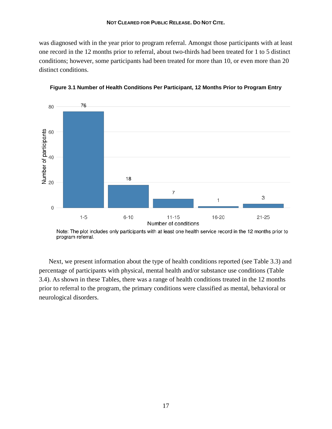was diagnosed with in the year prior to program referral. Amongst those participants with at least one record in the 12 months prior to referral, about two-thirds had been treated for 1 to 5 distinct conditions; however, some participants had been treated for more than 10, or even more than 20 distinct conditions.





Note: The plot includes only participants with at least one health service record in the 12 months prior to program referral.

Next, we present information about the type of health conditions reported (see Table 3.3) and percentage of participants with physical, mental health and/or substance use conditions (Table 3.4). As shown in these Tables, there was a range of health conditions treated in the 12 months prior to referral to the program, the primary conditions were classified as mental, behavioral or neurological disorders.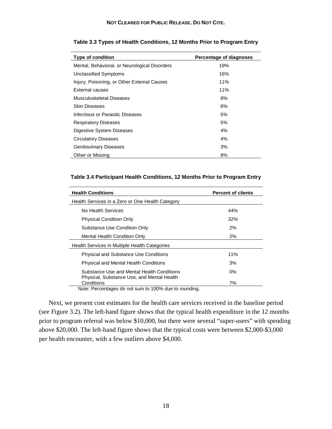| <b>Type of condition</b>                      | Percentage of diagnoses |
|-----------------------------------------------|-------------------------|
| Mental, Behavioral, or Neurological Disorders | 19%                     |
| Unclassified Symptoms                         | 16%                     |
| Injury, Poisoning, or Other External Causes   | 11%                     |
| External causes                               | 11%                     |
| Musculoskeletal Diseases                      | 8%                      |
| Skin Diseases                                 | 6%                      |
| Infectious or Parasitic Diseases              | 5%                      |
| <b>Respiratory Diseases</b>                   | 5%                      |
| Digestive System Diseases                     | 4%                      |
| <b>Circulatory Diseases</b>                   | 4%                      |
| <b>Genitourinary Diseases</b>                 | 3%                      |
| Other or Missing                              | 8%                      |

#### **Table 3.3 Types of Health Conditions, 12 Months Prior to Program Entry**

#### **Table 3.4 Participant Health Conditions, 12 Months Prior to Program Entry**

| <b>Health Conditions</b>                                 | <b>Percent of clients</b> |
|----------------------------------------------------------|---------------------------|
| Health Services in a Zero or One Health Category         |                           |
| No Health Services                                       | 44%                       |
| <b>Physical Condition Only</b>                           | 32%                       |
| Substance Use Condition Only                             | 2%                        |
| Mental Health Condition Only                             | 2%                        |
| Health Services in Multiple Health Categories            |                           |
| <b>Physical and Substance Use Conditions</b>             | 11%                       |
| <b>Physical and Mental Health Conditions</b>             | 3%                        |
| Substance Use and Mental Health Conditions               | $0\%$                     |
| Physical, Substance Use, and Mental Health<br>Conditions | 7%                        |

Note: Percentages do not sum to 100% due to rounding.

Next, we present cost estimates for the health care services received in the baseline period (see Figure 3.2). The left-hand figure shows that the typical health expenditure in the 12 months prior to program referral was below \$10,000, but there were several "super-users" with spending above \$20,000. The left-hand figure shows that the typical costs were between \$2,000-\$3,000 per health encounter, with a few outliers above \$4,000.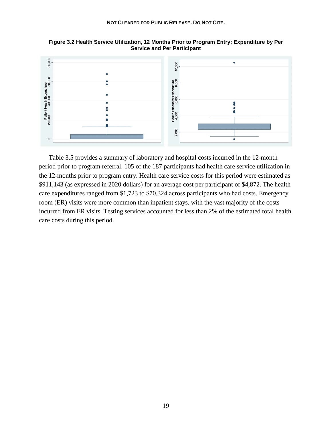

**Figure 3.2 Health Service Utilization, 12 Months Prior to Program Entry: Expenditure by Per Service and Per Participant**

Table 3.5 provides a summary of laboratory and hospital costs incurred in the 12-month period prior to program referral. 105 of the 187 participants had health care service utilization in the 12-months prior to program entry. Health care service costs for this period were estimated as \$911,143 (as expressed in 2020 dollars) for an average cost per participant of \$4,872. The health care expenditures ranged from \$1,723 to \$70,324 across participants who had costs. Emergency room (ER) visits were more common than inpatient stays, with the vast majority of the costs incurred from ER visits. Testing services accounted for less than 2% of the estimated total health care costs during this period.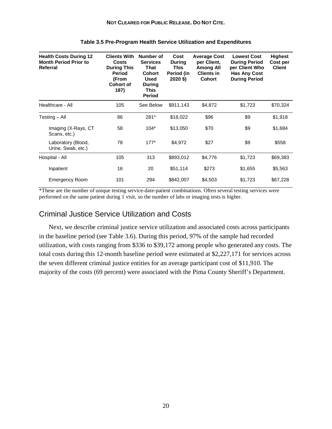| <b>Health Costs During 12</b><br><b>Month Period Prior to</b><br>Referral | <b>Clients With</b><br><b>Costs</b><br><b>During This</b><br><b>Period</b><br>(From<br>Cohort of<br>187) | Number of<br><b>Services</b><br>That<br><b>Cohort</b><br><b>Used</b><br>During<br>This<br>Period | Cost<br><b>During</b><br><b>This</b><br>Period (in<br>$2020$ \$) | <b>Average Cost</b><br>per Client,<br><b>Among All</b><br><b>Clients in</b><br><b>Cohort</b> | <b>Lowest Cost</b><br><b>During Period</b><br>per Client Who<br><b>Has Any Cost</b><br><b>During Period</b> | <b>Highest</b><br>Cost per<br><b>Client</b> |
|---------------------------------------------------------------------------|----------------------------------------------------------------------------------------------------------|--------------------------------------------------------------------------------------------------|------------------------------------------------------------------|----------------------------------------------------------------------------------------------|-------------------------------------------------------------------------------------------------------------|---------------------------------------------|
| Healthcare - All                                                          | 105                                                                                                      | See Below                                                                                        | \$911,143                                                        | \$4,872                                                                                      | \$1,723                                                                                                     | \$70,324                                    |
| Testing – All                                                             | 86                                                                                                       | 281*                                                                                             | \$18,022                                                         | \$96                                                                                         | \$9                                                                                                         | \$1,918                                     |
| Imaging (X-Rays, CT<br>Scans, etc.)                                       | 58                                                                                                       | $104*$                                                                                           | \$13,050                                                         | \$70                                                                                         | \$9                                                                                                         | \$1,684                                     |
| Laboratory (Blood,<br>Urine, Swab, etc.)                                  | 78                                                                                                       | $177*$                                                                                           | \$4,972                                                          | \$27                                                                                         | \$9                                                                                                         | \$558                                       |
| Hospital - All                                                            | 105                                                                                                      | 313                                                                                              | \$893,012                                                        | \$4,776                                                                                      | \$1,723                                                                                                     | \$69,383                                    |
| Inpatient                                                                 | 16                                                                                                       | 20                                                                                               | \$51,114                                                         | \$273                                                                                        | \$1,655                                                                                                     | \$5,563                                     |
| <b>Emergency Room</b>                                                     | 101                                                                                                      | 294                                                                                              | \$842,007                                                        | \$4,503                                                                                      | \$1,723                                                                                                     | \$67,228                                    |

#### **Table 3.5 Pre-Program Health Service Utilization and Expenditures**

\*These are the number of unique testing service-date-patient combinations. Often several testing services were performed on the same patient during 1 visit, so the number of labs or imaging tests is higher.

#### Criminal Justice Service Utilization and Costs

Next, we describe criminal justice service utilization and associated costs across participants in the baseline period (see Table 3.6). During this period, 97% of the sample had recorded utilization, with costs ranging from \$336 to \$39,172 among people who generated any costs. The total costs during this 12-month baseline period were estimated at \$2,227,171 for services across the seven different criminal justice entities for an average participant cost of \$11,910. The majority of the costs (69 percent) were associated with the Pima County Sheriff's Department.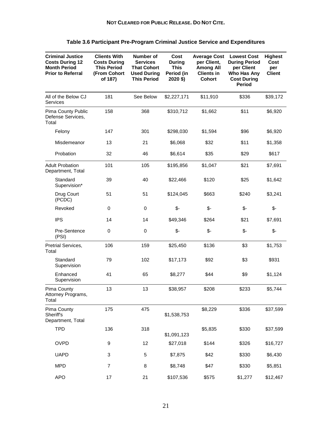| <b>Criminal Justice</b><br><b>Costs During 12</b><br><b>Month Period</b><br><b>Prior to Referral</b> | <b>Clients With</b><br><b>Costs During</b><br><b>This Period</b><br>(From Cohort<br>of 187) | Number of<br><b>Services</b><br><b>That Cohort</b><br><b>Used During</b><br><b>This Period</b> | Cost<br><b>During</b><br><b>This</b><br>Period (in<br>2020 \$) | <b>Average Cost</b><br>per Client,<br><b>Among All</b><br><b>Clients in</b><br><b>Cohort</b> | <b>Lowest Cost</b><br><b>During Period</b><br>per Client<br>Who Has Any<br><b>Cost During</b><br><b>Period</b> | <b>Highest</b><br>Cost<br>per<br><b>Client</b> |
|------------------------------------------------------------------------------------------------------|---------------------------------------------------------------------------------------------|------------------------------------------------------------------------------------------------|----------------------------------------------------------------|----------------------------------------------------------------------------------------------|----------------------------------------------------------------------------------------------------------------|------------------------------------------------|
| All of the Below CJ<br>Services                                                                      | 181                                                                                         | See Below                                                                                      | \$2,227,171                                                    | \$11,910                                                                                     | \$336                                                                                                          | \$39,172                                       |
| Pima County Public<br>Defense Services,<br>Total                                                     | 158                                                                                         | 368                                                                                            | \$310,712                                                      | \$1,662                                                                                      | \$11                                                                                                           | \$6,920                                        |
| Felony                                                                                               | 147                                                                                         | 301                                                                                            | \$298,030                                                      | \$1,594                                                                                      | \$96                                                                                                           | \$6,920                                        |
| Misdemeanor                                                                                          | 13                                                                                          | 21                                                                                             | \$6,068                                                        | \$32                                                                                         | \$11                                                                                                           | \$1,358                                        |
| Probation                                                                                            | 32                                                                                          | 46                                                                                             | \$6,614                                                        | \$35                                                                                         | \$29                                                                                                           | \$617                                          |
| <b>Adult Probation</b><br>Department, Total                                                          | 101                                                                                         | 105                                                                                            | \$195,856                                                      | \$1,047                                                                                      | \$21                                                                                                           | \$7,691                                        |
| Standard<br>Supervision*                                                                             | 39                                                                                          | 40                                                                                             | \$22,466                                                       | \$120                                                                                        | \$25                                                                                                           | \$1,642                                        |
| Drug Court<br>(PCDC)                                                                                 | 51                                                                                          | 51                                                                                             | \$124,045                                                      | \$663                                                                                        | \$240                                                                                                          | \$3,241                                        |
| Revoked                                                                                              | 0                                                                                           | 0                                                                                              | \$-                                                            | $\frac{2}{3}$                                                                                | \$-                                                                                                            | \$-                                            |
| <b>IPS</b>                                                                                           | 14                                                                                          | 14                                                                                             | \$49,346                                                       | \$264                                                                                        | \$21                                                                                                           | \$7,691                                        |
| Pre-Sentence<br>(PSI)                                                                                | 0                                                                                           | 0                                                                                              | $\mathcal{S}$ -                                                | $\mathcal{S}$ -                                                                              | $\frac{2}{3}$                                                                                                  | \$-                                            |
| Pretrial Services,<br>Total                                                                          | 106                                                                                         | 159                                                                                            | \$25,450                                                       | \$136                                                                                        | \$3                                                                                                            | \$1,753                                        |
| Standard<br>Supervision                                                                              | 79                                                                                          | 102                                                                                            | \$17,173                                                       | \$92                                                                                         | \$3                                                                                                            | \$931                                          |
| Enhanced<br>Supervision                                                                              | 41                                                                                          | 65                                                                                             | \$8,277                                                        | \$44                                                                                         | \$9                                                                                                            | \$1,124                                        |
| Pima County<br>Attorney Programs,<br>Total                                                           | 13                                                                                          | 13                                                                                             | \$38,957                                                       | \$208                                                                                        | \$233                                                                                                          | \$5,744                                        |
| Pima County<br>Sheriff's<br>Department, Total                                                        | 175                                                                                         | 475                                                                                            | \$1,538,753                                                    | \$8,229                                                                                      | \$336                                                                                                          | \$37,599                                       |
| <b>TPD</b>                                                                                           | 136                                                                                         | 318                                                                                            | \$1,091,123                                                    | \$5,835                                                                                      | \$330                                                                                                          | \$37,599                                       |
| <b>OVPD</b>                                                                                          | 9                                                                                           | 12                                                                                             | \$27,018                                                       | \$144                                                                                        | \$326                                                                                                          | \$16,727                                       |
| <b>UAPD</b>                                                                                          | 3                                                                                           | 5                                                                                              | \$7,875                                                        | \$42                                                                                         | \$330                                                                                                          | \$6,430                                        |
| <b>MPD</b>                                                                                           | $\overline{7}$                                                                              | 8                                                                                              | \$8,748                                                        | \$47                                                                                         | \$330                                                                                                          | \$5,851                                        |
| <b>APO</b>                                                                                           | 17                                                                                          | 21                                                                                             | \$107,536                                                      | \$575                                                                                        | \$1,277                                                                                                        | \$12,467                                       |

#### **Table 3.6 Participant Pre-Program Criminal Justice Service and Expenditures**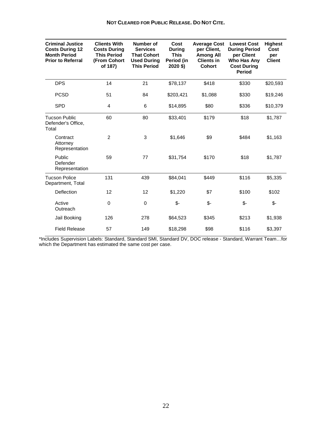| <b>Criminal Justice</b><br><b>Costs During 12</b><br><b>Month Period</b><br><b>Prior to Referral</b> | <b>Clients With</b><br><b>Costs During</b><br><b>This Period</b><br>(From Cohort<br>of 187) | Number of<br><b>Services</b><br><b>That Cohort</b><br><b>Used During</b><br><b>This Period</b> | Cost<br>During<br><b>This</b><br>Period (in<br>2020 \$) | <b>Average Cost</b><br>per Client.<br><b>Among All</b><br><b>Clients in</b><br><b>Cohort</b> | <b>Lowest Cost</b><br><b>During Period</b><br>per Client<br>Who Has Any<br><b>Cost During</b><br>Period | <b>Highest</b><br>Cost<br>per<br><b>Client</b> |
|------------------------------------------------------------------------------------------------------|---------------------------------------------------------------------------------------------|------------------------------------------------------------------------------------------------|---------------------------------------------------------|----------------------------------------------------------------------------------------------|---------------------------------------------------------------------------------------------------------|------------------------------------------------|
| <b>DPS</b>                                                                                           | 14                                                                                          | 21                                                                                             | \$78,137                                                | \$418                                                                                        | \$330                                                                                                   | \$20,593                                       |
| <b>PCSD</b>                                                                                          | 51                                                                                          | 84                                                                                             | \$203,421                                               | \$1,088                                                                                      | \$330                                                                                                   | \$19,246                                       |
| <b>SPD</b>                                                                                           | 4                                                                                           | 6                                                                                              | \$14,895                                                | \$80                                                                                         | \$336                                                                                                   | \$10,379                                       |
| <b>Tucson Public</b><br>Defender's Office,<br>Total                                                  | 60                                                                                          | 80                                                                                             | \$33,401                                                | \$179                                                                                        | \$18                                                                                                    | \$1,787                                        |
| Contract<br>Attorney<br>Representation                                                               | $\overline{2}$                                                                              | 3                                                                                              | \$1,646                                                 | \$9                                                                                          | \$484                                                                                                   | \$1,163                                        |
| Public<br>Defender<br>Representation                                                                 | 59                                                                                          | 77                                                                                             | \$31,754                                                | \$170                                                                                        | \$18                                                                                                    | \$1,787                                        |
| <b>Tucson Police</b><br>Department, Total                                                            | 131                                                                                         | 439                                                                                            | \$84,041                                                | \$449                                                                                        | \$116                                                                                                   | \$5,335                                        |
| Deflection                                                                                           | 12                                                                                          | 12                                                                                             | \$1,220                                                 | \$7                                                                                          | \$100                                                                                                   | \$102                                          |
| Active<br>Outreach                                                                                   | 0                                                                                           | 0                                                                                              | $$-$                                                    | \$-                                                                                          | \$-                                                                                                     | \$-                                            |
| Jail Booking                                                                                         | 126                                                                                         | 278                                                                                            | \$64,523                                                | \$345                                                                                        | \$213                                                                                                   | \$1,938                                        |
| <b>Field Release</b>                                                                                 | 57                                                                                          | 149                                                                                            | \$18,298                                                | \$98                                                                                         | \$116                                                                                                   | \$3,397                                        |

\*Includes Supervision Labels: Standard, Standard SMI, Standard DV, DOC release - Standard, Warrant Team…for which the Department has estimated the same cost per case.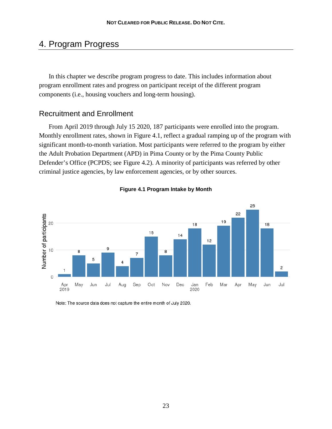## 4. Program Progress

In this chapter we describe program progress to date. This includes information about program enrollment rates and progress on participant receipt of the different program components (i.e., housing vouchers and long-term housing).

### Recruitment and Enrollment

From April 2019 through July 15 2020, 187 participants were enrolled into the program. Monthly enrollment rates, shown in Figure 4.1, reflect a gradual ramping up of the program with significant month-to-month variation. Most participants were referred to the program by either the Adult Probation Department (APD) in Pima County or by the Pima County Public Defender's Office (PCPDS; see Figure 4.2). A minority of participants was referred by other criminal justice agencies, by law enforcement agencies, or by other sources.





Note: The source data does not capture the entire month of July 2020.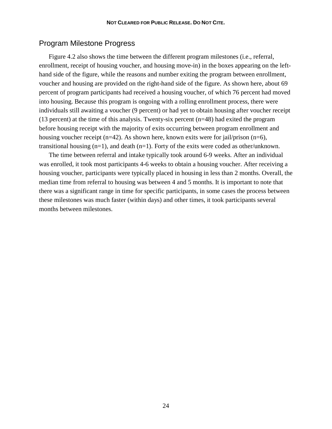#### Program Milestone Progress

Figure 4.2 also shows the time between the different program milestones (i.e., referral, enrollment, receipt of housing voucher, and housing move-in) in the boxes appearing on the lefthand side of the figure, while the reasons and number exiting the program between enrollment, voucher and housing are provided on the right-hand side of the figure. As shown here, about 69 percent of program participants had received a housing voucher, of which 76 percent had moved into housing. Because this program is ongoing with a rolling enrollment process, there were individuals still awaiting a voucher (9 percent) or had yet to obtain housing after voucher receipt (13 percent) at the time of this analysis. Twenty-six percent (n=48) had exited the program before housing receipt with the majority of exits occurring between program enrollment and housing voucher receipt (n=42). As shown here, known exits were for jail/prison (n=6), transitional housing  $(n=1)$ , and death  $(n=1)$ . Forty of the exits were coded as other/unknown.

The time between referral and intake typically took around 6-9 weeks. After an individual was enrolled, it took most participants 4-6 weeks to obtain a housing voucher. After receiving a housing voucher, participants were typically placed in housing in less than 2 months. Overall, the median time from referral to housing was between 4 and 5 months. It is important to note that there was a significant range in time for specific participants, in some cases the process between these milestones was much faster (within days) and other times, it took participants several months between milestones.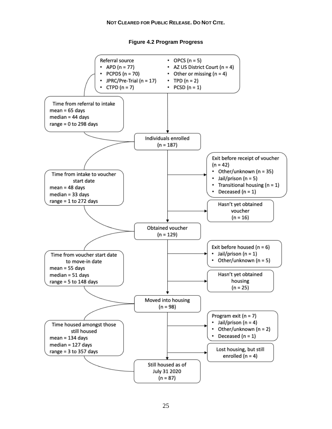#### **NOT CLEARED FOR PUBLIC RELEASE. DO NOT CITE.**

**Figure 4.2 Program Progress**

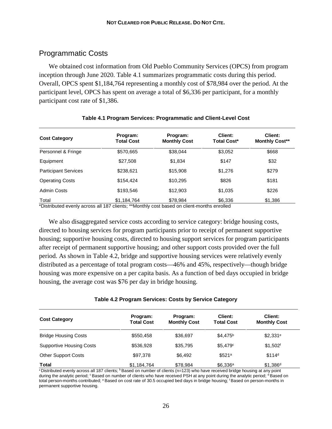## Programmatic Costs

We obtained cost information from Old Pueblo Community Services (OPCS) from program inception through June 2020. Table 4.1 summarizes programmatic costs during this period. Overall, OPCS spent \$1,184,764 representing a monthly cost of \$78,984 over the period. At the participant level, OPCS has spent on average a total of \$6,336 per participant, for a monthly participant cost rate of \$1,386.

| <b>Cost Category</b>        | Program:<br><b>Total Cost</b> | Program:<br><b>Monthly Cost</b> | Client:<br><b>Total Cost*</b> | Client:<br><b>Monthly Cost**</b> |
|-----------------------------|-------------------------------|---------------------------------|-------------------------------|----------------------------------|
| Personnel & Fringe          | \$570,665                     | \$38,044                        | \$3,052                       | \$668                            |
| Equipment                   | \$27,508                      | \$1,834                         | \$147                         | \$32                             |
| <b>Participant Services</b> | \$238,621                     | \$15,908                        | \$1,276                       | \$279                            |
| <b>Operating Costs</b>      | \$154,424                     | \$10,295                        | \$826                         | \$181                            |
| <b>Admin Costs</b>          | \$193,546                     | \$12,903                        | \$1,035                       | \$226                            |
| Total                       | \$1,184,764                   | \$78,984                        | \$6,336                       | \$1,386                          |

#### **Table 4.1 Program Services: Programmatic and Client-Level Cost**

\*Distributed evenly across all 187 clients; \*\*Monthly cost based on client-months enrolled

We also disaggregated service costs according to service category: bridge housing costs, directed to housing services for program participants prior to receipt of permanent supportive housing; supportive housing costs, directed to housing support services for program participants after receipt of permanent supportive housing; and other support costs provided over the full period. As shown in Table 4.2, bridge and supportive housing services were relatively evenly distributed as a percentage of total program costs—46% and 45%, respectively—though bridge housing was more expensive on a per capita basis. As a function of bed days occupied in bridge housing, the average cost was \$76 per day in bridge housing.

|  | Table 4.2 Program Services: Costs by Service Category |  |  |
|--|-------------------------------------------------------|--|--|
|  |                                                       |  |  |

| <b>Cost Category</b>            | Program:<br><b>Total Cost</b> | Program:<br><b>Monthly Cost</b> | Client:<br><b>Total Cost</b> | Client:<br><b>Monthly Cost</b> |
|---------------------------------|-------------------------------|---------------------------------|------------------------------|--------------------------------|
| <b>Bridge Housing Costs</b>     | \$550.458                     | \$36,697                        | \$4.475 <sup>b</sup>         | $$2,331^{\circ}$               |
| <b>Supportive Housing Costs</b> | \$536,928                     | \$35,795                        | \$5.479c                     | $$1,502$ <sup>f</sup>          |
| <b>Other Support Costs</b>      | \$97.378                      | \$6,492                         | \$521 <sup>a</sup>           | \$114 <sup>d</sup>             |
| Total                           | \$1,184,764                   | \$78.984                        | $$6,336^a$                   | $$1,386^d$                     |

<sup>a</sup> Distributed evenly across all 187 clients; <sup>b</sup> Based on number of clients (n=123) who have received bridge housing at any point during the analytic period; <sup>c</sup> Based on number of clients who have received PSH at any point during the analytic period; <sup>d</sup> Based on total person-months contributed; <sup>e</sup> Based on cost rate of 30.5 occupied bed days in bridge housing; <sup>f</sup> Based on person-months in permanent supportive housing.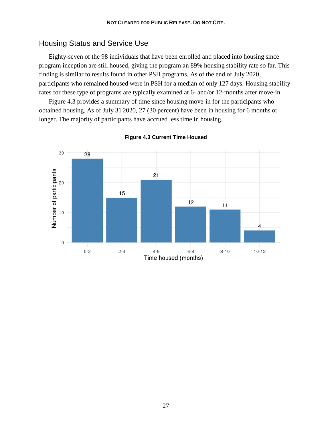## Housing Status and Service Use

Eighty-seven of the 98 individuals that have been enrolled and placed into housing since program inception are still housed, giving the program an 89% housing stability rate so far. This finding is similar to results found in other PSH programs. As of the end of July 2020, participants who remained housed were in PSH for a median of only 127 days. Housing stability rates for these type of programs are typically examined at 6- and/or 12-months after move-in.

Figure 4.3 provides a summary of time since housing move-in for the participants who obtained housing. As of July 31 2020, 27 (30 percent) have been in housing for 6 months or longer. The majority of participants have accrued less time in housing.



**Figure 4.3 Current Time Housed**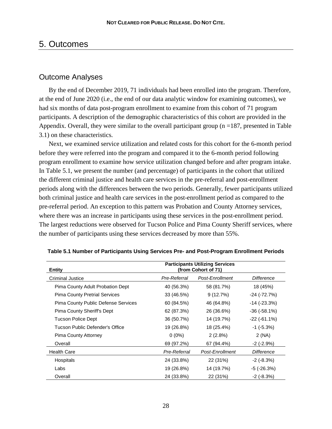## 5. Outcomes

## Outcome Analyses

By the end of December 2019, 71 individuals had been enrolled into the program. Therefore, at the end of June 2020 (i.e., the end of our data analytic window for examining outcomes), we had six months of data post-program enrollment to examine from this cohort of 71 program participants. A description of the demographic characteristics of this cohort are provided in the Appendix. Overall, they were similar to the overall participant group  $(n = 187)$ , presented in Table 3.1) on these characteristics.

Next, we examined service utilization and related costs for this cohort for the 6-month period before they were referred into the program and compared it to the 6-month period following program enrollment to examine how service utilization changed before and after program intake. In Table 5.1, we present the number (and percentage) of participants in the cohort that utilized the different criminal justice and health care services in the pre-referral and post-enrollment periods along with the differences between the two periods. Generally, fewer participants utilized both criminal justice and health care services in the post-enrollment period as compared to the pre-referral period. An exception to this pattern was Probation and County Attorney services, where there was an increase in participants using these services in the post-enrollment period. The largest reductions were observed for Tucson Police and Pima County Sheriff services, where the number of participants using these services decreased by more than 55%.

| <b>Entity</b>                        | <b>Participants Utilizing Services</b><br>(from Cohort of 71) |                 |                     |
|--------------------------------------|---------------------------------------------------------------|-----------------|---------------------|
| Criminal Justice                     | Pre-Referral                                                  | Post-Enrollment | Difference          |
| Pima County Adult Probation Dept     | 40 (56.3%)                                                    | 58 (81.7%)      | 18 (45%)            |
| <b>Pima County Pretrial Services</b> | 33 (46.5%)                                                    | 9(12.7%)        | -24 (-72.7%)        |
| Pima County Public Defense Services  | 60 (84.5%)                                                    | 46 (64.8%)      | -14 (-23.3%)        |
| Pima County Sheriff's Dept           | 62 (87.3%)                                                    | 26 (36.6%)      | $-36$ ( $-58.1\%$ ) |
| <b>Tucson Police Dept</b>            | 36 (50.7%)                                                    | 14 (19.7%)      | $-22$ ( $-61.1\%$ ) |
| Tucson Public Defender's Office      | 19 (26.8%)                                                    | 18 (25.4%)      | $-1$ ( $-5.3\%$ )   |
| Pima County Attorney                 | $0(0\%)$                                                      | $2(2.8\%)$      | 2 (NA)              |
| Overall                              | 69 (97.2%)                                                    | 67 (94.4%)      | $-2$ ( $-2.9%$ )    |
| <b>Health Care</b>                   | Pre-Referral                                                  | Post-Enrollment | Difference          |
| Hospitals                            | 24 (33.8%)                                                    | 22 (31%)        | $-2$ ( $-8.3\%$ )   |
| Labs                                 | 19 (26.8%)                                                    | 14 (19.7%)      | -5 (-26.3%)         |
| Overall                              | 24 (33.8%)                                                    | 22 (31%)        | $-2$ ( $-8.3\%$ )   |

#### **Table 5.1 Number of Participants Using Services Pre- and Post-Program Enrollment Periods**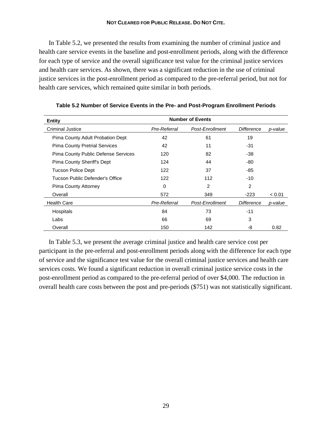#### **NOT CLEARED FOR PUBLIC RELEASE. DO NOT CITE.**

In Table 5.2, we presented the results from examining the number of criminal justice and health care service events in the baseline and post-enrollment periods, along with the difference for each type of service and the overall significance test value for the criminal justice services and health care services. As shown, there was a significant reduction in the use of criminal justice services in the post-enrollment period as compared to the pre-referral period, but not for health care services, which remained quite similar in both periods.

| <b>Entity</b>                              | <b>Number of Events</b> |                 |                |         |
|--------------------------------------------|-------------------------|-----------------|----------------|---------|
| <b>Criminal Justice</b>                    | Pre-Referral            | Post-Enrollment | Difference     | p-value |
| Pima County Adult Probation Dept           | 42                      | 61              | 19             |         |
| <b>Pima County Pretrial Services</b>       | 42                      | 11              | -31            |         |
| <b>Pima County Public Defense Services</b> | 120                     | 82              | -38            |         |
| Pima County Sheriff's Dept                 | 124                     | 44              | -80            |         |
| <b>Tucson Police Dept</b>                  | 122                     | 37              | -85            |         |
| Tucson Public Defender's Office            | 122                     | 112             | -10            |         |
| Pima County Attorney                       | 0                       | 2               | $\overline{2}$ |         |
| Overall                                    | 572                     | 349             | $-223$         | < 0.01  |
| <b>Health Care</b>                         | Pre-Referral            | Post-Enrollment | Difference     | p-value |
| Hospitals                                  | 84                      | 73              | $-11$          |         |
| Labs                                       | 66                      | 69              | 3              |         |
| Overall                                    | 150                     | 142             | -8             | 0.82    |

**Table 5.2 Number of Service Events in the Pre- and Post-Program Enrollment Periods**

In Table 5.3, we present the average criminal justice and health care service cost per participant in the pre-referral and post-enrollment periods along with the difference for each type of service and the significance test value for the overall criminal justice services and health care services costs. We found a significant reduction in overall criminal justice service costs in the post-enrollment period as compared to the pre-referral period of over \$4,000. The reduction in overall health care costs between the post and pre-periods (\$751) was not statistically significant.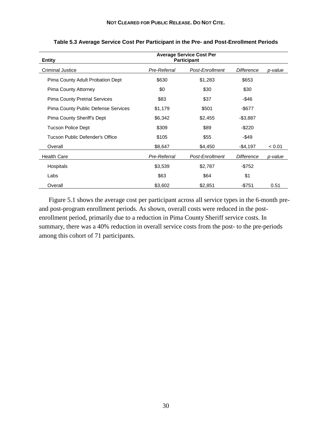| <b>Entity</b>                        | <b>Average Service Cost Per</b><br><b>Participant</b> |                 |                   |         |
|--------------------------------------|-------------------------------------------------------|-----------------|-------------------|---------|
| <b>Criminal Justice</b>              | Pre-Referral                                          | Post-Enrollment | Difference        | p-value |
| Pima County Adult Probation Dept     | \$630                                                 | \$1,283         | \$653             |         |
| Pima County Attorney                 | \$0                                                   | \$30            | \$30              |         |
| <b>Pima County Pretrial Services</b> | \$83                                                  | \$37            | -\$46             |         |
| Pima County Public Defense Services  | \$1,179                                               | \$501           | $-$ \$677         |         |
| Pima County Sheriff's Dept           | \$6,342                                               | \$2,455         | $-$3,887$         |         |
| <b>Tucson Police Dept</b>            | \$309                                                 | \$89            | $-$ \$220         |         |
| Tucson Public Defender's Office      | \$105                                                 | \$55            | -\$49             |         |
| Overall                              | \$8,647                                               | \$4,450         | -\$4,197          | < 0.01  |
| <b>Health Care</b>                   | Pre-Referral                                          | Post-Enrollment | <b>Difference</b> | p-value |
| Hospitals                            | \$3,539                                               | \$2,787         | $-$ \$752         |         |
| Labs                                 | \$63                                                  | \$64            | \$1               |         |
| Overall                              | \$3,602                                               | \$2,851         | $-$ \$751         | 0.51    |

**Table 5.3 Average Service Cost Per Participant in the Pre- and Post-Enrollment Periods** 

Figure 5.1 shows the average cost per participant across all service types in the 6-month preand post-program enrollment periods. As shown, overall costs were reduced in the postenrollment period, primarily due to a reduction in Pima County Sheriff service costs. In summary, there was a 40% reduction in overall service costs from the post- to the pre-periods among this cohort of 71 participants.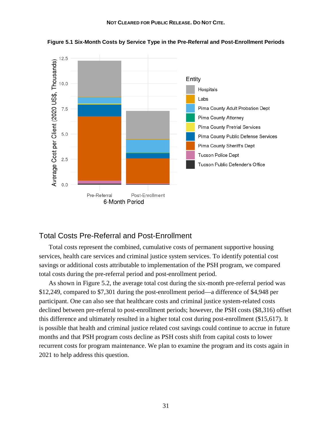

**Figure 5.1 Six-Month Costs by Service Type in the Pre-Referral and Post-Enrollment Periods**

### Total Costs Pre-Referral and Post-Enrollment

Total costs represent the combined, cumulative costs of permanent supportive housing services, health care services and criminal justice system services. To identify potential cost savings or additional costs attributable to implementation of the PSH program, we compared total costs during the pre-referral period and post-enrollment period.

As shown in Figure 5.2, the average total cost during the six-month pre-referral period was \$12,249, compared to \$7,301 during the post-enrollment period—a difference of \$4,948 per participant. One can also see that healthcare costs and criminal justice system-related costs declined between pre-referral to post-enrollment periods; however, the PSH costs (\$8,316) offset this difference and ultimately resulted in a higher total cost during post-enrollment (\$15,617). It is possible that health and criminal justice related cost savings could continue to accrue in future months and that PSH program costs decline as PSH costs shift from capital costs to lower recurrent costs for program maintenance. We plan to examine the program and its costs again in 2021 to help address this question.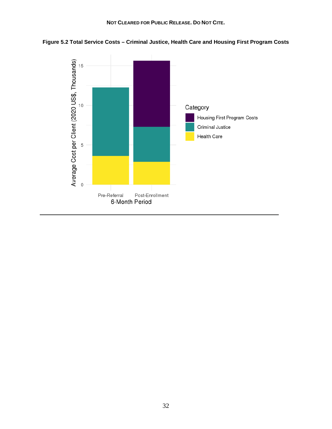

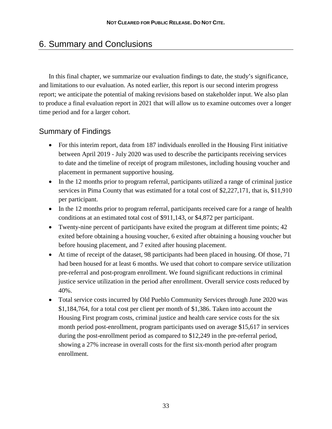## 6. Summary and Conclusions

In this final chapter, we summarize our evaluation findings to date, the study's significance, and limitations to our evaluation. As noted earlier, this report is our second interim progress report; we anticipate the potential of making revisions based on stakeholder input. We also plan to produce a final evaluation report in 2021 that will allow us to examine outcomes over a longer time period and for a larger cohort.

## Summary of Findings

- For this interim report, data from 187 individuals enrolled in the Housing First initiative between April 2019 - July 2020 was used to describe the participants receiving services to date and the timeline of receipt of program milestones, including housing voucher and placement in permanent supportive housing.
- In the 12 months prior to program referral, participants utilized a range of criminal justice services in Pima County that was estimated for a total cost of \$2,227,171, that is, \$11,910 per participant.
- In the 12 months prior to program referral, participants received care for a range of health conditions at an estimated total cost of \$911,143, or \$4,872 per participant.
- Twenty-nine percent of participants have exited the program at different time points; 42 exited before obtaining a housing voucher, 6 exited after obtaining a housing voucher but before housing placement, and 7 exited after housing placement.
- At time of receipt of the dataset, 98 participants had been placed in housing. Of those, 71 had been housed for at least 6 months. We used that cohort to compare service utilization pre-referral and post-program enrollment. We found significant reductions in criminal justice service utilization in the period after enrollment. Overall service costs reduced by 40%.
- Total service costs incurred by Old Pueblo Community Services through June 2020 was \$1,184,764, for a total cost per client per month of \$1,386. Taken into account the Housing First program costs, criminal justice and health care service costs for the six month period post-enrollment, program participants used on average \$15,617 in services during the post-enrollment period as compared to \$12,249 in the pre-referral period, showing a 27% increase in overall costs for the first six-month period after program enrollment.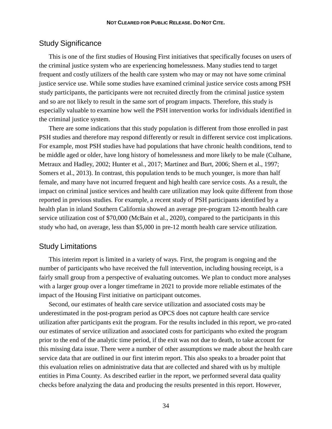### Study Significance

This is one of the first studies of Housing First initiatives that specifically focuses on users of the criminal justice system who are experiencing homelessness. Many studies tend to target frequent and costly utilizers of the health care system who may or may not have some criminal justice service use. While some studies have examined criminal justice service costs among PSH study participants, the participants were not recruited directly from the criminal justice system and so are not likely to result in the same sort of program impacts. Therefore, this study is especially valuable to examine how well the PSH intervention works for individuals identified in the criminal justice system.

There are some indications that this study population is different from those enrolled in past PSH studies and therefore may respond differently or result in different service cost implications. For example, most PSH studies have had populations that have chronic health conditions, tend to be middle aged or older, have long history of homelessness and more likely to be male (Culhane, Metraux and Hadley, 2002; Hunter et al., 2017; Martinez and Burt, 2006; Shern et al., 1997; Somers et al., 2013). In contrast, this population tends to be much younger, is more than half female, and many have not incurred frequent and high health care service costs. As a result, the impact on criminal justice services and health care utilization may look quite different from those reported in previous studies. For example, a recent study of PSH participants identified by a health plan in inland Southern California showed an average pre-program 12-month health care service utilization cost of \$70,000 (McBain et al., 2020), compared to the participants in this study who had, on average, less than \$5,000 in pre-12 month health care service utilization.

#### Study Limitations

This interim report is limited in a variety of ways. First, the program is ongoing and the number of participants who have received the full intervention, including housing receipt, is a fairly small group from a perspective of evaluating outcomes. We plan to conduct more analyses with a larger group over a longer timeframe in 2021 to provide more reliable estimates of the impact of the Housing First initiative on participant outcomes.

Second, our estimates of health care service utilization and associated costs may be underestimated in the post-program period as OPCS does not capture health care service utilization after participants exit the program. For the results included in this report, we pro-rated our estimates of service utilization and associated costs for participants who exited the program prior to the end of the analytic time period, if the exit was not due to death, to take account for this missing data issue. There were a number of other assumptions we made about the health care service data that are outlined in our first interim report. This also speaks to a broader point that this evaluation relies on administrative data that are collected and shared with us by multiple entities in Pima County. As described earlier in the report, we performed several data quality checks before analyzing the data and producing the results presented in this report. However,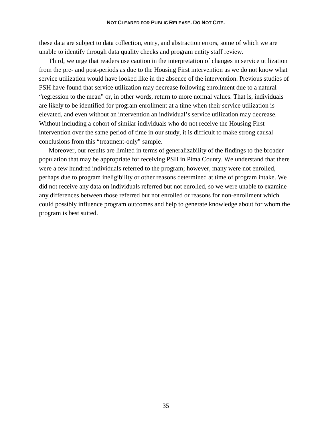these data are subject to data collection, entry, and abstraction errors, some of which we are unable to identify through data quality checks and program entity staff review.

Third, we urge that readers use caution in the interpretation of changes in service utilization from the pre- and post-periods as due to the Housing First intervention as we do not know what service utilization would have looked like in the absence of the intervention. Previous studies of PSH have found that service utilization may decrease following enrollment due to a natural "regression to the mean" or, in other words, return to more normal values. That is, individuals are likely to be identified for program enrollment at a time when their service utilization is elevated, and even without an intervention an individual's service utilization may decrease. Without including a cohort of similar individuals who do not receive the Housing First intervention over the same period of time in our study, it is difficult to make strong causal conclusions from this "treatment-only" sample.

Moreover, our results are limited in terms of generalizability of the findings to the broader population that may be appropriate for receiving PSH in Pima County. We understand that there were a few hundred individuals referred to the program; however, many were not enrolled, perhaps due to program ineligibility or other reasons determined at time of program intake. We did not receive any data on individuals referred but not enrolled, so we were unable to examine any differences between those referred but not enrolled or reasons for non-enrollment which could possibly influence program outcomes and help to generate knowledge about for whom the program is best suited.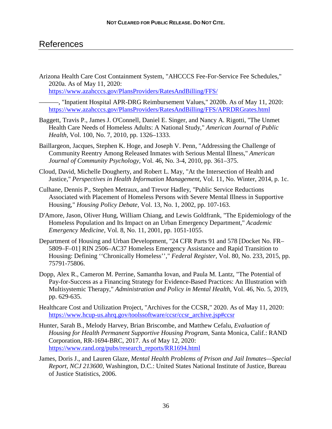## References

Arizona Health Care Cost Containment System, "AHCCCS Fee-For-Service Fee Schedules," 2020a. As of May 11, 2020: <https://www.azahcccs.gov/PlansProviders/RatesAndBilling/FFS/>

———, "Inpatient Hospital APR-DRG Reimbursement Values," 2020b. As of May 11, 2020: <https://www.azahcccs.gov/PlansProviders/RatesAndBilling/FFS/APRDRGrates.html>

- Baggett, Travis P., James J. O'Connell, Daniel E. Singer, and Nancy A. Rigotti, "The Unmet Health Care Needs of Homeless Adults: A National Study," *American Journal of Public Health,* Vol. 100, No. 7, 2010, pp. 1326–1333.
- Baillargeon, Jacques, Stephen K. Hoge, and Joseph V. Penn, "Addressing the Challenge of Community Reentry Among Released Inmates with Serious Mental Illness," *American Journal of Community Psychology,* Vol. 46, No. 3-4, 2010, pp. 361–375.
- Cloud, David, Michelle Dougherty, and Robert L. May, "At the Intersection of Health and Justice," *Perspectives in Health Information Management,* Vol. 11, No. Winter, 2014, p. 1c.
- Culhane, Dennis P., Stephen Metraux, and Trevor Hadley, "Public Service Reductions Associated with Placement of Homeless Persons with Severe Mental Illness in Supportive Housing," *Housing Policy Debate,* Vol. 13, No. 1, 2002, pp. 107-163.
- D'Amore, Jason, Oliver Hung, William Chiang, and Lewis Goldfrank, "The Epidemiology of the Homeless Population and Its Impact on an Urban Emergency Department," *Academic Emergency Medicine,* Vol. 8, No. 11, 2001, pp. 1051-1055.
- Department of Housing and Urban Development, "24 CFR Parts 91 and 578 [Docket No. FR– 5809–F–01] RIN 2506–AC37 Homeless Emergency Assistance and Rapid Transition to Housing: Defining ''Chronically Homeless''," *Federal Register,* Vol. 80, No. 233, 2015, pp. 75791-75806.
- Dopp, Alex R., Cameron M. Perrine, Samantha Iovan, and Paula M. Lantz, "The Potential of Pay-for-Success as a Financing Strategy for Evidence-Based Practices: An Illustration with Multisystemic Therapy," *Administration and Policy in Mental Health,* Vol. 46, No. 5, 2019, pp. 629-635.
- Healthcare Cost and Utilization Project, "Archives for the CCSR," 2020. As of May 11, 2020: [https://www.hcup-us.ahrq.gov/toolssoftware/ccsr/ccsr\\_archive.jsp#ccsr](https://www.hcup-us.ahrq.gov/toolssoftware/ccsr/ccsr_archive.jsp#ccsr)
- Hunter, Sarah B., Melody Harvey, Brian Briscombe, and Matthew Cefalu, *Evaluation of Housing for Health Permanent Supportive Housing Program*, Santa Monica, Calif.: RAND Corporation, RR-1694-BRC, 2017. As of May 12, 2020: [https://www.rand.org/pubs/research\\_reports/RR1694.html](https://www.rand.org/pubs/research_reports/RR1694.html)
- James, Doris J., and Lauren Glaze, *Mental Health Problems of Prison and Jail Inmates—Special Report, NCJ 213600*, Washington, D.C.: United States National Institute of Justice, Bureau of Justice Statistics, 2006.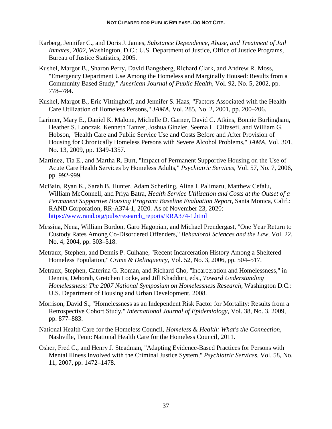- Karberg, Jennifer C., and Doris J. James, *Substance Dependence, Abuse, and Treatment of Jail Inmates, 2002*, Washington, D.C.: U.S. Department of Justice, Office of Justice Programs, Bureau of Justice Statistics, 2005.
- Kushel, Margot B., Sharon Perry, David Bangsberg, Richard Clark, and Andrew R. Moss, "Emergency Department Use Among the Homeless and Marginally Housed: Results from a Community Based Study," *American Journal of Public Health,* Vol. 92, No. 5, 2002, pp. 778–784.
- Kushel, Margot B., Eric Vittinghoff, and Jennifer S. Haas, "Factors Associated with the Health Care Utilization of Homeless Persons," *JAMA,* Vol. 285, No. 2, 2001, pp. 200–206.
- Larimer, Mary E., Daniel K. Malone, Michelle D. Garner, David C. Atkins, Bonnie Burlingham, Heather S. Lonczak, Kenneth Tanzer, Joshua Ginzler, Seema L. Clifasefi, and William G. Hobson, "Health Care and Public Service Use and Costs Before and After Provision of Housing for Chronically Homeless Persons with Severe Alcohol Problems," *JAMA,* Vol. 301, No. 13, 2009, pp. 1349-1357.
- Martinez, Tia E., and Martha R. Burt, "Impact of Permanent Supportive Housing on the Use of Acute Care Health Services by Homeless Adults," *Psychiatric Services,* Vol. 57, No. 7, 2006, pp. 992-999.
- McBain, Ryan K., Sarah B. Hunter, Adam Scherling, Alina I. Palimaru, Matthew Cefalu, William McConnell, and Priya Batra, *Health Service Utilization and Costs at the Outset of a Permanent Supportive Housing Program: Baseline Evaluation Report*, Santa Monica, Calif.: RAND Corporation, RR-A374-1, 2020. As of November 23, 2020: [https://www.rand.org/pubs/research\\_reports/RRA374-1.html](https://www.rand.org/pubs/research_reports/RRA374-1.html)
- Messina, Nena, William Burdon, Garo Hagopian, and Michael Prendergast, "One Year Return to Custody Rates Among Co-Disordered Offenders," *Behavioral Sciences and the Law,* Vol. 22, No. 4, 2004, pp. 503–518.
- Metraux, Stephen, and Dennis P. Culhane, "Recent Incarceration History Among a Sheltered Homeless Population," *Crime & Delinquency,* Vol. 52, No. 3, 2006, pp. 504–517.
- Metraux, Stephen, Caterina G. Roman, and Richard Cho, "Incarceration and Homelessness," in Dennis, Deborah, Gretchen Locke, and Jill Khadduri, eds., *Toward Understanding Homelessness: The 2007 National Symposium on Homelessness Research*, Washington D.C.: U.S. Department of Housing and Urban Development, 2008.
- Morrison, David S., "Homelessness as an Independent Risk Factor for Mortality: Results from a Retrospective Cohort Study," *International Journal of Epidemiology,* Vol. 38, No. 3, 2009, pp. 877–883.
- National Health Care for the Homeless Council, *Homeless & Health: What's the Connection*, Nashville, Tenn: National Health Care for the Homeless Council, 2011.
- Osher, Fred C., and Henry J. Steadman, "Adapting Evidence-Based Practices for Persons with Mental Illness Involved with the Criminal Justice System," *Psychiatric Services,* Vol. 58, No. 11, 2007, pp. 1472–1478.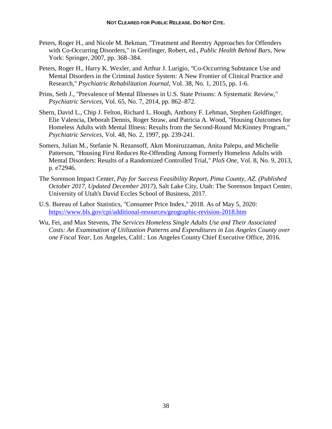- Peters, Roger H., and Nicole M. Bekman, "Treatment and Reentry Approaches for Offenders with Co-Occurring Disorders," in Greifinger, Robert, ed., *Public Health Behind Bars*, New York: Springer, 2007, pp. 368–384.
- Peters, Roger H., Harry K. Wexler, and Arthur J. Lurigio, "Co-Occurring Substance Use and Mental Disorders in the Criminal Justice System: A New Frontier of Clinical Practice and Research," *Psychiatric Rehabilitation Journal,* Vol. 38, No. 1, 2015, pp. 1-6.
- Prins, Seth J., "Prevalence of Mental Illnesses in U.S. State Prisons: A Systematic Review," *Psychiatric Services,* Vol. 65, No. 7, 2014, pp. 862–872.
- Shern, David L., Chip J. Felton, Richard L. Hough, Anthony F. Lehman, Stephen Goldfinger, Elie Valencia, Deborah Dennis, Roger Straw, and Patricia A. Wood, "Housing Outcomes for Homeless Adults with Mental Illness: Results from the Second-Round McKinney Program," *Psychiatric Services,* Vol. 48, No. 2, 1997, pp. 239-241.
- Somers, Julian M., Stefanie N. Rezansoff, Akm Moniruzzaman, Anita Palepu, and Michelle Patterson, "Housing First Reduces Re-Offending Among Formerly Homeless Adults with Mental Disorders: Results of a Randomized Controlled Trial," *PloS One,* Vol. 8, No. 9, 2013, p. e72946.
- The Sorenson Impact Center, *Pay for Success Feasibility Report, Pima County, AZ. (Published October 2017, Updated December 2017)*, Salt Lake City, Utah: The Sorenson Impact Center, University of Utah's David Eccles School of Business, 2017.
- U.S. Bureau of Labor Statistics, "Consumer Price Index," 2018. As of May 5, 2020: <https://www.bls.gov/cpi/additional-resources/geographic-revision-2018.htm>
- Wu, Fei, and Max Stevens, *The Services Homeless Single Adults Use and Their Associated Costs: An Examination of Utilization Patterns and Expenditures in Los Angeles County over one Fiscal Year*, Los Angeles, Calif.: Los Angeles County Chief Executive Office, 2016.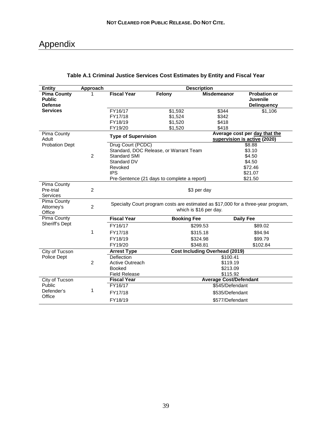## Appendix

| <b>Entity</b>                                         | Approach       |                                                                                                             |                                                                                       | <b>Description</b>                           |                                                                       |  |
|-------------------------------------------------------|----------------|-------------------------------------------------------------------------------------------------------------|---------------------------------------------------------------------------------------|----------------------------------------------|-----------------------------------------------------------------------|--|
| <b>Pima County</b><br><b>Public</b><br><b>Defense</b> |                | <b>Fiscal Year</b>                                                                                          | Felony                                                                                | <b>Misdemeanor</b>                           | <b>Probation or</b><br>Juvenile<br><b>Delinquency</b>                 |  |
| <b>Services</b>                                       |                | FY16/17                                                                                                     | \$1,592                                                                               | \$344                                        | \$1,106                                                               |  |
|                                                       |                | FY17/18                                                                                                     | \$1,524                                                                               | \$342                                        |                                                                       |  |
|                                                       |                | FY18/19                                                                                                     | \$1,520                                                                               | \$418                                        |                                                                       |  |
|                                                       |                | FY19/20                                                                                                     | \$1,520                                                                               | \$418                                        |                                                                       |  |
| Pima County<br>Adult                                  |                | <b>Type of Supervision</b>                                                                                  |                                                                                       |                                              | Average cost per day that the<br>supervision is active (2020)         |  |
| <b>Probation Dept</b>                                 | $\overline{2}$ | Drug Court (PCDC)<br>Standard SMI<br>Standard DV<br>Revoked<br><b>IPS</b>                                   | Standard, DOC Release, or Warrant Team<br>Pre-Sentence (21 days to complete a report) |                                              | \$8.88<br>\$3.10<br>\$4.50<br>\$4.50<br>\$72.46<br>\$21.07<br>\$21.50 |  |
| Pima County<br>Pre-trial<br><b>Services</b>           | $\overline{2}$ |                                                                                                             |                                                                                       | \$3 per day                                  |                                                                       |  |
| Pima County<br>Attorney's<br>Office                   | $\overline{2}$ | Specialty Court program costs are estimated as \$17,000 for a three-year program,<br>which is \$16 per day. |                                                                                       |                                              |                                                                       |  |
| Pima County                                           |                | <b>Fiscal Year</b>                                                                                          | <b>Booking Fee</b>                                                                    |                                              | <b>Daily Fee</b>                                                      |  |
| Sheriff's Dept                                        |                | FY16/17                                                                                                     |                                                                                       | \$299.53                                     | \$89.02                                                               |  |
|                                                       | 1              | FY17/18                                                                                                     |                                                                                       | \$315.18                                     | \$94.94                                                               |  |
|                                                       |                | FY18/19                                                                                                     |                                                                                       | \$324.98                                     | \$99.79                                                               |  |
|                                                       |                | FY19/20                                                                                                     |                                                                                       | \$348.81                                     | \$102.84                                                              |  |
| City of Tucson                                        |                | <b>Arrest Type</b>                                                                                          |                                                                                       | <b>Cost Including Overhead (2019)</b>        |                                                                       |  |
| Police Dept                                           | 2              | Deflection<br><b>Active Outreach</b><br><b>Booked</b><br><b>Field Release</b>                               |                                                                                       | \$100.41<br>\$119.19<br>\$213.09<br>\$115.92 |                                                                       |  |
| City of Tucson                                        |                | <b>Fiscal Year</b>                                                                                          |                                                                                       | <b>Average Cost/Defendant</b>                |                                                                       |  |
| Public                                                |                | FY16/17                                                                                                     |                                                                                       | \$545/Defendant                              |                                                                       |  |
| Defender's                                            | 1              | FY17/18                                                                                                     |                                                                                       | \$535/Defendant                              |                                                                       |  |
| Office                                                |                | FY18/19                                                                                                     |                                                                                       | \$577/Defendant                              |                                                                       |  |

#### **Table A.1 Criminal Justice Services Cost Estimates by Entity and Fiscal Year**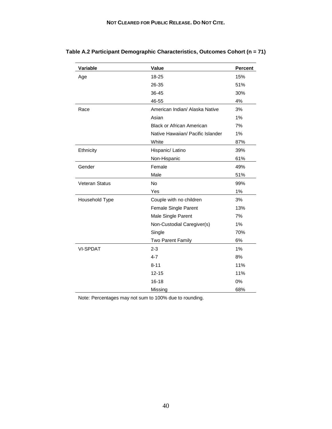| Variable              | Value                             | <b>Percent</b> |
|-----------------------|-----------------------------------|----------------|
| Age                   | 18-25                             | 15%            |
|                       | 26-35                             | 51%            |
|                       | 36-45                             | 30%            |
|                       | 46-55                             | 4%             |
| Race                  | American Indian/ Alaska Native    | 3%             |
|                       | Asian                             | 1%             |
|                       | <b>Black or African American</b>  | 7%             |
|                       | Native Hawaiian/ Pacific Islander | 1%             |
|                       | White                             | 87%            |
| Ethnicity             | Hispanic/ Latino                  | 39%            |
|                       | Non-Hispanic                      | 61%            |
| Gender                | Female                            | 49%            |
|                       | Male                              | 51%            |
| <b>Veteran Status</b> | <b>No</b>                         | 99%            |
|                       | Yes                               | 1%             |
| Household Type        | Couple with no children           | 3%             |
|                       | Female Single Parent              | 13%            |
|                       | Male Single Parent                | 7%             |
|                       | Non-Custodial Caregiver(s)        | 1%             |
|                       | Single                            | 70%            |
|                       | Two Parent Family                 | 6%             |
| <b>VI-SPDAT</b>       | $2 - 3$                           | 1%             |
|                       | $4 - 7$                           | 8%             |
|                       | $8 - 11$                          | 11%            |
|                       | $12 - 15$                         | 11%            |
|                       | $16 - 18$                         | 0%             |
|                       | Missing                           | 68%            |

**Table A.2 Participant Demographic Characteristics, Outcomes Cohort (n = 71)**

Note: Percentages may not sum to 100% due to rounding.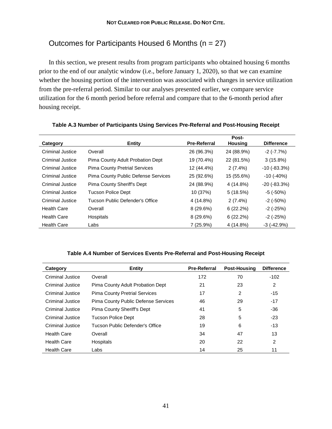## Outcomes for Participants Housed 6 Months (n = 27)

In this section, we present results from program participants who obtained housing 6 months prior to the end of our analytic window (i.e., before January 1, 2020), so that we can examine whether the housing portion of the intervention was associated with changes in service utilization from the pre-referral period. Similar to our analyses presented earlier, we compare service utilization for the 6 month period before referral and compare that to the 6-month period after housing receipt.

|                    |                                            |                     | Post-       |                     |
|--------------------|--------------------------------------------|---------------------|-------------|---------------------|
| Category           | <b>Entity</b>                              | <b>Pre-Referral</b> | Housing     | <b>Difference</b>   |
| Criminal Justice   | Overall                                    | 26 (96.3%)          | 24 (88.9%)  | $-2$ ( $-7.7\%$ )   |
| Criminal Justice   | Pima County Adult Probation Dept           | 19 (70.4%)          | 22 (81.5%)  | $3(15.8\%)$         |
| Criminal Justice   | <b>Pima County Pretrial Services</b>       | 12 (44.4%)          | $2(7.4\%)$  | $-10$ ( $-83.3\%$ ) |
| Criminal Justice   | <b>Pima County Public Defense Services</b> | 25 (92.6%)          | 15 (55.6%)  | $-10$ ( $-40\%$ )   |
| Criminal Justice   | Pima County Sheriff's Dept                 | 24 (88.9%)          | 4 (14.8%)   | $-20$ $(-83.3%)$    |
| Criminal Justice   | <b>Tucson Police Dept</b>                  | 10 (37%)            | 5(18.5%)    | $-5$ ( $-50\%$ )    |
| Criminal Justice   | Tucson Public Defender's Office            | 4 (14.8%)           | $2(7.4\%)$  | $-2$ ( $-50\%$ )    |
| <b>Health Care</b> | Overall                                    | $8(29.6\%)$         | $6(22.2\%)$ | $-2$ ( $-25\%$ )    |
| <b>Health Care</b> | Hospitals                                  | $8(29.6\%)$         | 6(22.2%)    | $-2$ ( $-25\%$ )    |
| <b>Health Care</b> | Labs                                       | 7 (25.9%)           | 4 (14.8%)   | $-3$ $(-42.9%)$     |

#### **Table A.3 Number of Participants Using Services Pre-Referral and Post-Housing Receipt**

#### **Table A.4 Number of Services Events Pre-Referral and Post-Housing Receipt**

| Category           | <b>Entity</b>                        | <b>Pre-Referral</b> | <b>Post-Housing</b> | <b>Difference</b> |
|--------------------|--------------------------------------|---------------------|---------------------|-------------------|
| Criminal Justice   | Overall                              | 172                 | 70                  | $-102$            |
| Criminal Justice   | Pima County Adult Probation Dept     | 21                  | 23                  | 2                 |
| Criminal Justice   | <b>Pima County Pretrial Services</b> | 17                  | 2                   | $-15$             |
| Criminal Justice   | Pima County Public Defense Services  | 46                  | 29                  | $-17$             |
| Criminal Justice   | Pima County Sheriff's Dept           | 41                  | 5                   | $-36$             |
| Criminal Justice   | Tucson Police Dept                   | 28                  | 5                   | $-23$             |
| Criminal Justice   | Tucson Public Defender's Office      | 19                  | 6                   | $-13$             |
| Health Care        | Overall                              | 34                  | 47                  | 13                |
| <b>Health Care</b> | <b>Hospitals</b>                     | 20                  | 22                  | 2                 |
| <b>Health Care</b> | Labs                                 | 14                  | 25                  | 11                |